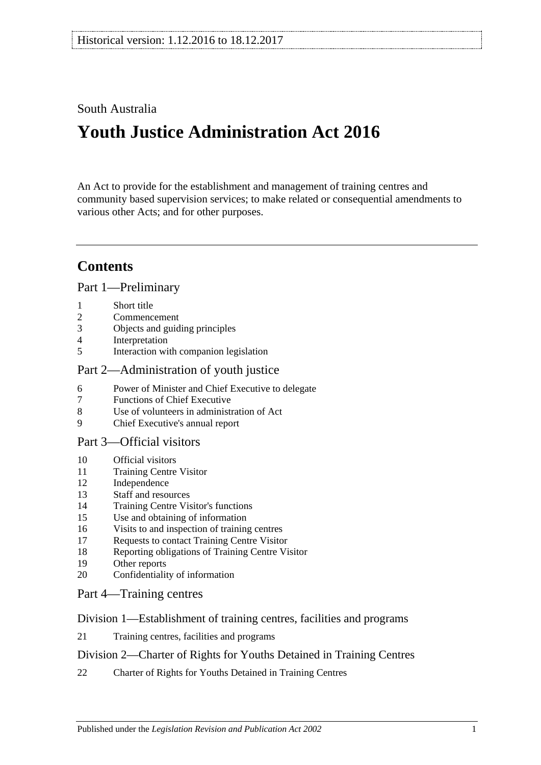# South Australia

# **Youth Justice Administration Act 2016**

An Act to provide for the establishment and management of training centres and community based supervision services; to make related or consequential amendments to various other Acts; and for other purposes.

# **Contents**

Part [1—Preliminary](#page-3-0)

- [Short title](#page-3-1)
- [Commencement](#page-3-2)
- [Objects and guiding principles](#page-3-3)
- [Interpretation](#page-5-0)
- [Interaction with companion legislation](#page-6-0)

#### Part [2—Administration of youth justice](#page-6-1)

- [Power of Minister and Chief Executive to delegate](#page-6-2)
- [Functions of Chief Executive](#page-7-0)
- [Use of volunteers in administration of Act](#page-7-1)
- [Chief Executive's annual report](#page-7-2)

#### Part [3—Official visitors](#page-7-3)

- [Official visitors](#page-7-4)
- [Training Centre Visitor](#page-8-0)
- [Independence](#page-9-0)
- [Staff and resources](#page-9-1)
- [Training Centre Visitor's functions](#page-9-2)
- [Use and obtaining of information](#page-10-0)
- [Visits to and inspection of training centres](#page-10-1)
- [Requests to contact Training Centre Visitor](#page-11-0)
- [Reporting obligations of Training Centre Visitor](#page-11-1)
- [Other reports](#page-11-2)
- [Confidentiality of information](#page-12-0)
- Part [4—Training centres](#page-12-1)

#### Division [1—Establishment of training centres, facilities and programs](#page-12-2)

[Training centres, facilities and programs](#page-12-3)

#### Division [2—Charter of Rights for Youths Detained in Training Centres](#page-12-4)

[Charter of Rights for Youths Detained in Training Centres](#page-12-5)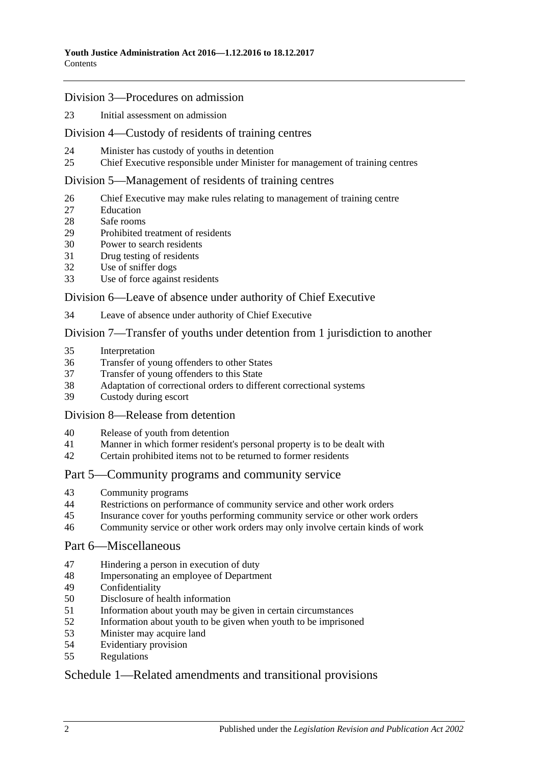#### Division [3—Procedures on admission](#page-13-0)

[Initial assessment on admission](#page-13-1)

#### Division [4—Custody of residents of training centres](#page-15-0)

- [Minister has custody of youths in detention](#page-15-1)
- [Chief Executive responsible under Minister for management of training centres](#page-15-2)

#### Division [5—Management of residents of training centres](#page-15-3)

- [Chief Executive may make rules relating to management of training centre](#page-15-4)
- [Education](#page-15-5)
- [Safe rooms](#page-16-0)
- [Prohibited treatment of residents](#page-17-0)
- [Power to search residents](#page-18-0)
- [Drug testing of residents](#page-19-0)
- [Use of sniffer dogs](#page-20-0)
- [Use of force against residents](#page-20-1)

#### Division [6—Leave of absence under authority of Chief Executive](#page-21-0)

[Leave of absence under authority of Chief Executive](#page-21-1)

#### Division [7—Transfer of youths under detention from 1 jurisdiction to another](#page-22-0)

- [Interpretation](#page-22-1)
- [Transfer of young offenders to other States](#page-23-0)
- [Transfer of young offenders to this State](#page-24-0)
- [Adaptation of correctional orders to different correctional systems](#page-25-0)<br>39 Custody during escort
- [Custody during escort](#page-25-1)

#### Division [8—Release from detention](#page-25-2)

- [Release of youth from detention](#page-25-3)
- [Manner in which former resident's personal property is to be dealt with](#page-26-0)
- [Certain prohibited items not to be returned to former residents](#page-26-1)

#### Part [5—Community programs and community service](#page-26-2)

- [Community programs](#page-26-3)
- [Restrictions on performance of community service and other work orders](#page-27-0)
- [Insurance cover for youths performing community service or other work orders](#page-28-0)
- [Community service or other work orders may only involve certain kinds of work](#page-28-1)

#### Part [6—Miscellaneous](#page-28-2)

- [Hindering a person in execution of duty](#page-28-3)
- [Impersonating an employee of Department](#page-29-0)
- [Confidentiality](#page-29-1)
- [Disclosure of health information](#page-29-2)
- [Information about youth may be given in certain circumstances](#page-30-0)
- [Information about youth to be given when youth to be imprisoned](#page-30-1)
- [Minister may acquire land](#page-31-0)
- [Evidentiary provision](#page-31-1)
- [Regulations](#page-31-2)

## Schedule [1—Related amendments and transitional provisions](#page-32-0)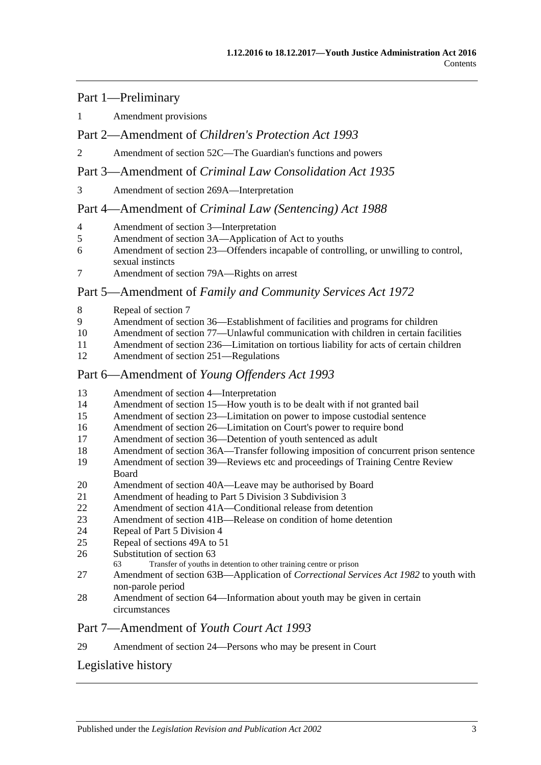#### Part 1—Preliminary

[Amendment provisions](#page-32-1)

#### Part 2—Amendment of *Children's Protection Act 1993*

[Amendment of section 52C—The Guardian's functions and powers](#page-32-2)

#### Part 3—Amendment of *Criminal Law Consolidation Act 1935*

[Amendment of section 269A—Interpretation](#page-32-3)

#### Part 4—Amendment of *Criminal Law (Sentencing) Act 1988*

- [Amendment of section 3—Interpretation](#page-33-0)
- [Amendment of section 3A—Application of Act to youths](#page-33-1)
- [Amendment of section 23—Offenders incapable of controlling, or unwilling to control,](#page-33-2)  [sexual instincts](#page-33-2)
- [Amendment of section 79A—Rights on arrest](#page-34-0)

#### Part 5—Amendment of *Family and Community Services Act 1972*

- [Repeal of section 7](#page-34-1)
- [Amendment of section 36—Establishment of facilities and programs for children](#page-34-2)
- [Amendment of section 77—Unlawful communication with children in certain facilities](#page-34-3)
- [Amendment of section 236—Limitation on tortious liability](#page-34-4) for acts of certain children
- [Amendment of section 251—Regulations](#page-34-5)

#### Part 6—Amendment of *Young Offenders Act 1993*

- [Amendment of section 4—Interpretation](#page-34-6)
- [Amendment of section 15—How youth is to be dealt with if not granted bail](#page-35-0)
- [Amendment of section 23—Limitation on power to impose custodial sentence](#page-35-1)
- [Amendment of section 26—Limitation on Court's power to require bond](#page-36-0)
- [Amendment of section 36—Detention of youth sentenced as adult](#page-36-1)
- [Amendment of section 36A—Transfer following imposition of concurrent prison sentence](#page-36-2)
- [Amendment of section 39—Reviews etc and proceedings of Training Centre Review](#page-36-3)  [Board](#page-36-3)
- [Amendment of section 40A—Leave may be authorised by Board](#page-37-0)
- [Amendment of heading to Part 5 Division 3 Subdivision 3](#page-37-1)
- [Amendment of section 41A—Conditional release from detention](#page-37-2)
- [Amendment of section 41B—Release on condition of home detention](#page-37-3)
- [Repeal of Part 5 Division 4](#page-37-4)
- [Repeal of sections 49A to 51](#page-37-5)
- [Substitution of section 63](#page-37-6)<br>63 Transfer of youths in
	- Transfer of youths in detention to other training centre or prison
- [Amendment of section 63B—Application of](#page-39-0) *Correctional Services Act 1982* to youth with [non-parole period](#page-39-0)
- [Amendment of section 64—Information about youth may be given in certain](#page-39-1)  [circumstances](#page-39-1)

#### Part 7—Amendment of *Youth Court Act 1993*

[Amendment of section 24—Persons who may be present in Court](#page-39-2)

# [Legislative history](#page-40-0)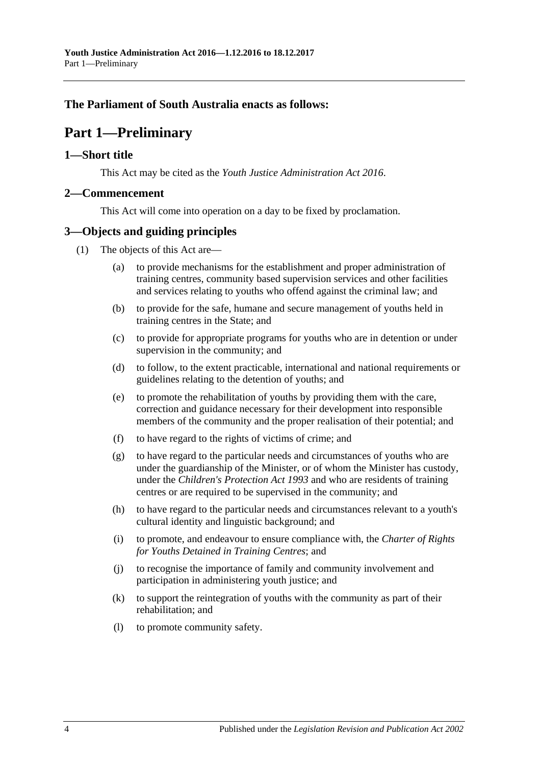## <span id="page-3-0"></span>**The Parliament of South Australia enacts as follows:**

# **Part 1—Preliminary**

#### <span id="page-3-1"></span>**1—Short title**

This Act may be cited as the *Youth Justice Administration Act 2016*.

#### <span id="page-3-2"></span>**2—Commencement**

This Act will come into operation on a day to be fixed by proclamation.

#### <span id="page-3-3"></span>**3—Objects and guiding principles**

- (1) The objects of this Act are—
	- (a) to provide mechanisms for the establishment and proper administration of training centres, community based supervision services and other facilities and services relating to youths who offend against the criminal law; and
	- (b) to provide for the safe, humane and secure management of youths held in training centres in the State; and
	- (c) to provide for appropriate programs for youths who are in detention or under supervision in the community; and
	- (d) to follow, to the extent practicable, international and national requirements or guidelines relating to the detention of youths; and
	- (e) to promote the rehabilitation of youths by providing them with the care, correction and guidance necessary for their development into responsible members of the community and the proper realisation of their potential; and
	- (f) to have regard to the rights of victims of crime; and
	- (g) to have regard to the particular needs and circumstances of youths who are under the guardianship of the Minister, or of whom the Minister has custody, under the *[Children's Protection Act](http://www.legislation.sa.gov.au/index.aspx?action=legref&type=act&legtitle=Childrens%20Protection%20Act%201993) 1993* and who are residents of training centres or are required to be supervised in the community; and
	- (h) to have regard to the particular needs and circumstances relevant to a youth's cultural identity and linguistic background; and
	- (i) to promote, and endeavour to ensure compliance with, the *Charter of Rights for Youths Detained in Training Centres*; and
	- (j) to recognise the importance of family and community involvement and participation in administering youth justice; and
	- (k) to support the reintegration of youths with the community as part of their rehabilitation; and
	- (l) to promote community safety.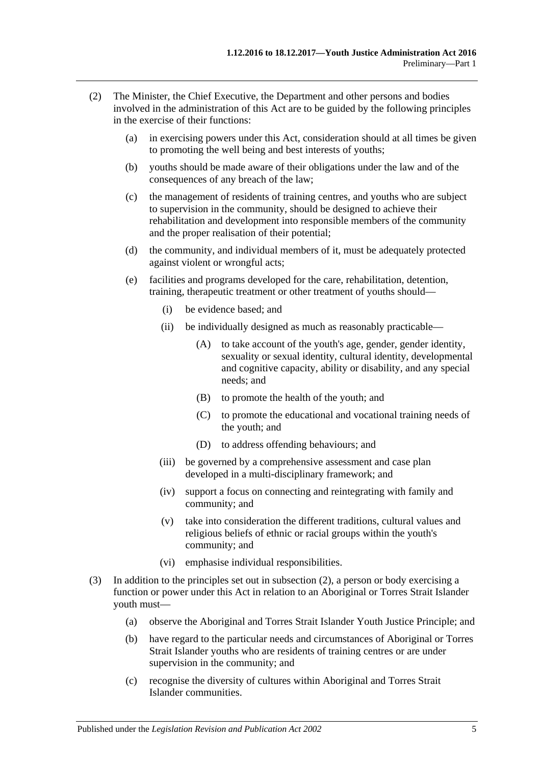- <span id="page-4-0"></span>(2) The Minister, the Chief Executive, the Department and other persons and bodies involved in the administration of this Act are to be guided by the following principles in the exercise of their functions:
	- (a) in exercising powers under this Act, consideration should at all times be given to promoting the well being and best interests of youths;
	- (b) youths should be made aware of their obligations under the law and of the consequences of any breach of the law;
	- (c) the management of residents of training centres, and youths who are subject to supervision in the community, should be designed to achieve their rehabilitation and development into responsible members of the community and the proper realisation of their potential;
	- (d) the community, and individual members of it, must be adequately protected against violent or wrongful acts;
	- (e) facilities and programs developed for the care, rehabilitation, detention, training, therapeutic treatment or other treatment of youths should—
		- (i) be evidence based; and
		- (ii) be individually designed as much as reasonably practicable—
			- (A) to take account of the youth's age, gender, gender identity, sexuality or sexual identity, cultural identity, developmental and cognitive capacity, ability or disability, and any special needs; and
			- (B) to promote the health of the youth; and
			- (C) to promote the educational and vocational training needs of the youth; and
			- (D) to address offending behaviours; and
		- (iii) be governed by a comprehensive assessment and case plan developed in a multi-disciplinary framework; and
		- (iv) support a focus on connecting and reintegrating with family and community; and
		- (v) take into consideration the different traditions, cultural values and religious beliefs of ethnic or racial groups within the youth's community; and
		- (vi) emphasise individual responsibilities.
- (3) In addition to the principles set out in [subsection](#page-4-0) (2), a person or body exercising a function or power under this Act in relation to an Aboriginal or Torres Strait Islander youth must—
	- (a) observe the Aboriginal and Torres Strait Islander Youth Justice Principle; and
	- (b) have regard to the particular needs and circumstances of Aboriginal or Torres Strait Islander youths who are residents of training centres or are under supervision in the community; and
	- (c) recognise the diversity of cultures within Aboriginal and Torres Strait Islander communities.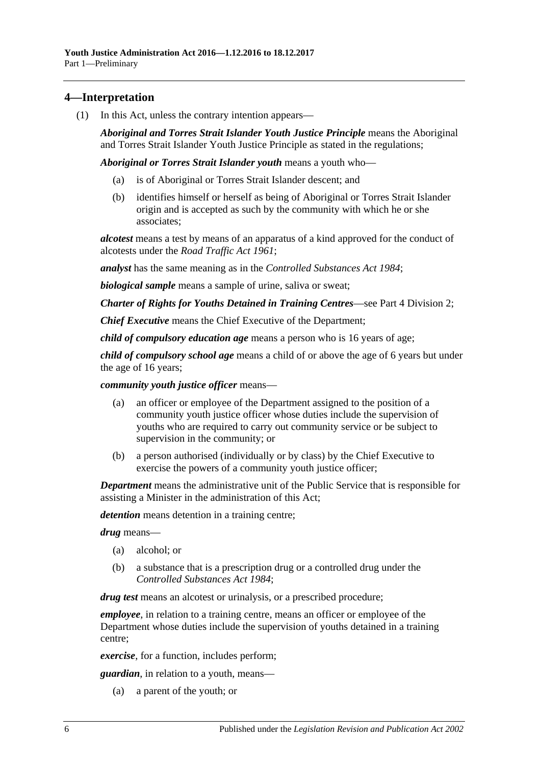### <span id="page-5-0"></span>**4—Interpretation**

(1) In this Act, unless the contrary intention appears—

*Aboriginal and Torres Strait Islander Youth Justice Principle* means the Aboriginal and Torres Strait Islander Youth Justice Principle as stated in the regulations;

*Aboriginal or Torres Strait Islander youth* means a youth who—

- (a) is of Aboriginal or Torres Strait Islander descent; and
- (b) identifies himself or herself as being of Aboriginal or Torres Strait Islander origin and is accepted as such by the community with which he or she associates;

*alcotest* means a test by means of an apparatus of a kind approved for the conduct of alcotests under the *[Road Traffic Act](http://www.legislation.sa.gov.au/index.aspx?action=legref&type=act&legtitle=Road%20Traffic%20Act%201961) 1961*;

*analyst* has the same meaning as in the *[Controlled Substances Act](http://www.legislation.sa.gov.au/index.aspx?action=legref&type=act&legtitle=Controlled%20Substances%20Act%201984) 1984*;

*biological sample* means a sample of urine, saliva or sweat;

*Charter of Rights for Youths Detained in Training Centres*—see Part 4 [Division](#page-12-4) 2;

*Chief Executive* means the Chief Executive of the Department;

*child of compulsory education age* means a person who is 16 years of age;

*child of compulsory school age* means a child of or above the age of 6 years but under the age of 16 years;

*community youth justice officer* means—

- (a) an officer or employee of the Department assigned to the position of a community youth justice officer whose duties include the supervision of youths who are required to carry out community service or be subject to supervision in the community; or
- (b) a person authorised (individually or by class) by the Chief Executive to exercise the powers of a community youth justice officer;

*Department* means the administrative unit of the Public Service that is responsible for assisting a Minister in the administration of this Act;

*detention* means detention in a training centre;

*drug* means—

- (a) alcohol; or
- (b) a substance that is a prescription drug or a controlled drug under the *[Controlled Substances Act](http://www.legislation.sa.gov.au/index.aspx?action=legref&type=act&legtitle=Controlled%20Substances%20Act%201984) 1984*;

*drug test* means an alcotest or urinalysis, or a prescribed procedure;

*employee*, in relation to a training centre, means an officer or employee of the Department whose duties include the supervision of youths detained in a training centre;

*exercise*, for a function, includes perform;

*guardian*, in relation to a youth, means—

(a) a parent of the youth; or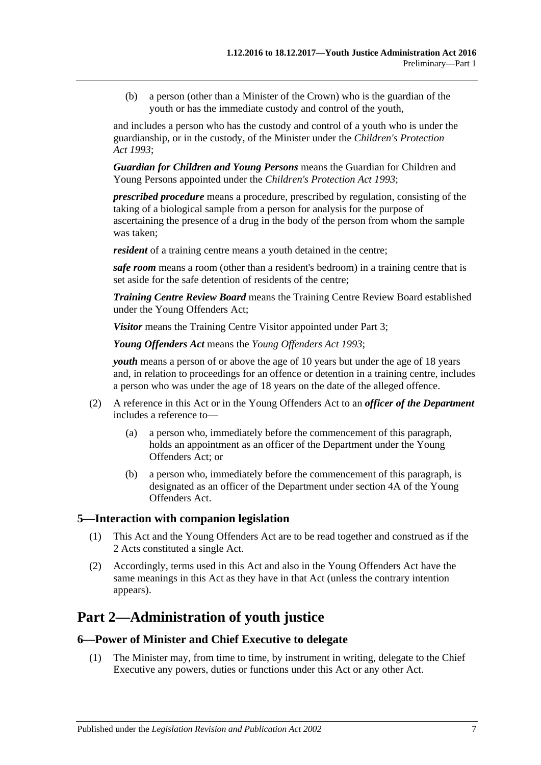(b) a person (other than a Minister of the Crown) who is the guardian of the youth or has the immediate custody and control of the youth,

and includes a person who has the custody and control of a youth who is under the guardianship, or in the custody, of the Minister under the *[Children's Protection](http://www.legislation.sa.gov.au/index.aspx?action=legref&type=act&legtitle=Childrens%20Protection%20Act%201993)  Act [1993](http://www.legislation.sa.gov.au/index.aspx?action=legref&type=act&legtitle=Childrens%20Protection%20Act%201993)*;

*Guardian for Children and Young Persons* means the Guardian for Children and Young Persons appointed under the *[Children's Protection Act](http://www.legislation.sa.gov.au/index.aspx?action=legref&type=act&legtitle=Childrens%20Protection%20Act%201993) 1993*;

*prescribed procedure* means a procedure, prescribed by regulation, consisting of the taking of a biological sample from a person for analysis for the purpose of ascertaining the presence of a drug in the body of the person from whom the sample was taken;

*resident* of a training centre means a youth detained in the centre;

*safe room* means a room (other than a resident's bedroom) in a training centre that is set aside for the safe detention of residents of the centre;

*Training Centre Review Board* means the Training Centre Review Board established under the Young Offenders Act;

*Visitor* means the Training Centre Visitor appointed under [Part](#page-7-3) 3;

*Young Offenders Act* means the *[Young Offenders Act](http://www.legislation.sa.gov.au/index.aspx?action=legref&type=act&legtitle=Young%20Offenders%20Act%201993) 1993*;

*youth* means a person of or above the age of 10 years but under the age of 18 years and, in relation to proceedings for an offence or detention in a training centre, includes a person who was under the age of 18 years on the date of the alleged offence.

- (2) A reference in this Act or in the Young Offenders Act to an *officer of the Department* includes a reference to—
	- (a) a person who, immediately before the commencement of this paragraph, holds an appointment as an officer of the Department under the Young Offenders Act; or
	- (b) a person who, immediately before the commencement of this paragraph, is designated as an officer of the Department under section 4A of the Young Offenders Act.

#### <span id="page-6-0"></span>**5—Interaction with companion legislation**

- (1) This Act and the Young Offenders Act are to be read together and construed as if the 2 Acts constituted a single Act.
- (2) Accordingly, terms used in this Act and also in the Young Offenders Act have the same meanings in this Act as they have in that Act (unless the contrary intention appears).

# <span id="page-6-1"></span>**Part 2—Administration of youth justice**

#### <span id="page-6-2"></span>**6—Power of Minister and Chief Executive to delegate**

(1) The Minister may, from time to time, by instrument in writing, delegate to the Chief Executive any powers, duties or functions under this Act or any other Act.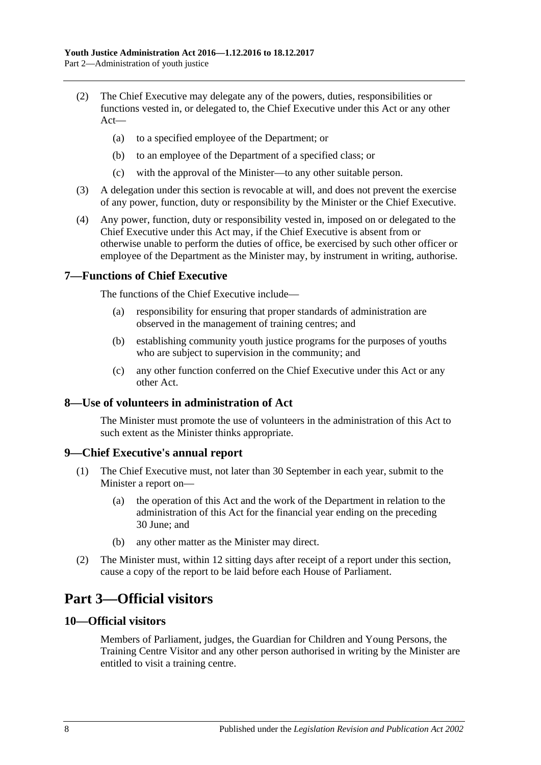- (2) The Chief Executive may delegate any of the powers, duties, responsibilities or functions vested in, or delegated to, the Chief Executive under this Act or any other Act—
	- (a) to a specified employee of the Department; or
	- (b) to an employee of the Department of a specified class; or
	- (c) with the approval of the Minister—to any other suitable person.
- (3) A delegation under this section is revocable at will, and does not prevent the exercise of any power, function, duty or responsibility by the Minister or the Chief Executive.
- (4) Any power, function, duty or responsibility vested in, imposed on or delegated to the Chief Executive under this Act may, if the Chief Executive is absent from or otherwise unable to perform the duties of office, be exercised by such other officer or employee of the Department as the Minister may, by instrument in writing, authorise.

#### <span id="page-7-0"></span>**7—Functions of Chief Executive**

The functions of the Chief Executive include—

- (a) responsibility for ensuring that proper standards of administration are observed in the management of training centres; and
- (b) establishing community youth justice programs for the purposes of youths who are subject to supervision in the community; and
- (c) any other function conferred on the Chief Executive under this Act or any other Act.

#### <span id="page-7-1"></span>**8—Use of volunteers in administration of Act**

The Minister must promote the use of volunteers in the administration of this Act to such extent as the Minister thinks appropriate.

#### <span id="page-7-2"></span>**9—Chief Executive's annual report**

- (1) The Chief Executive must, not later than 30 September in each year, submit to the Minister a report on—
	- (a) the operation of this Act and the work of the Department in relation to the administration of this Act for the financial year ending on the preceding 30 June; and
	- (b) any other matter as the Minister may direct.
- (2) The Minister must, within 12 sitting days after receipt of a report under this section, cause a copy of the report to be laid before each House of Parliament.

# <span id="page-7-3"></span>**Part 3—Official visitors**

#### <span id="page-7-4"></span>**10—Official visitors**

Members of Parliament, judges, the Guardian for Children and Young Persons, the Training Centre Visitor and any other person authorised in writing by the Minister are entitled to visit a training centre.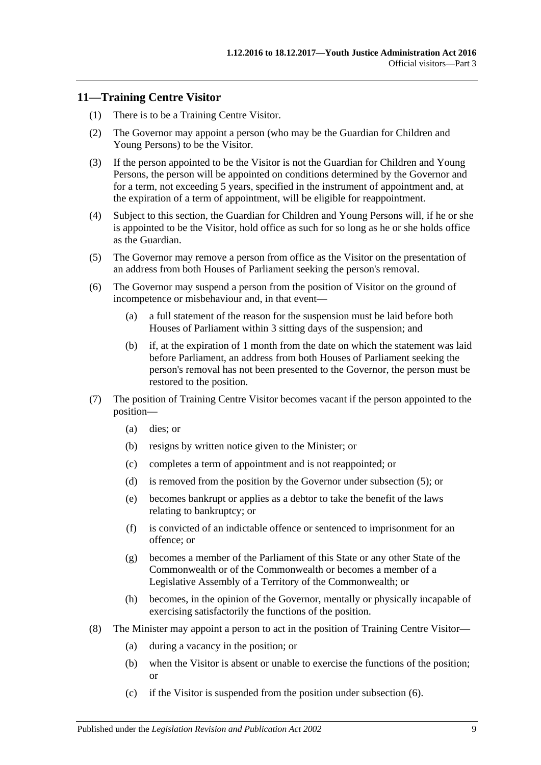#### <span id="page-8-0"></span>**11—Training Centre Visitor**

- (1) There is to be a Training Centre Visitor.
- (2) The Governor may appoint a person (who may be the Guardian for Children and Young Persons) to be the Visitor.
- (3) If the person appointed to be the Visitor is not the Guardian for Children and Young Persons, the person will be appointed on conditions determined by the Governor and for a term, not exceeding 5 years, specified in the instrument of appointment and, at the expiration of a term of appointment, will be eligible for reappointment.
- (4) Subject to this section, the Guardian for Children and Young Persons will, if he or she is appointed to be the Visitor, hold office as such for so long as he or she holds office as the Guardian.
- <span id="page-8-1"></span>(5) The Governor may remove a person from office as the Visitor on the presentation of an address from both Houses of Parliament seeking the person's removal.
- <span id="page-8-2"></span>(6) The Governor may suspend a person from the position of Visitor on the ground of incompetence or misbehaviour and, in that event—
	- (a) a full statement of the reason for the suspension must be laid before both Houses of Parliament within 3 sitting days of the suspension; and
	- (b) if, at the expiration of 1 month from the date on which the statement was laid before Parliament, an address from both Houses of Parliament seeking the person's removal has not been presented to the Governor, the person must be restored to the position.
- (7) The position of Training Centre Visitor becomes vacant if the person appointed to the position—
	- (a) dies; or
	- (b) resigns by written notice given to the Minister; or
	- (c) completes a term of appointment and is not reappointed; or
	- (d) is removed from the position by the Governor under [subsection](#page-8-1) (5); or
	- (e) becomes bankrupt or applies as a debtor to take the benefit of the laws relating to bankruptcy; or
	- (f) is convicted of an indictable offence or sentenced to imprisonment for an offence; or
	- (g) becomes a member of the Parliament of this State or any other State of the Commonwealth or of the Commonwealth or becomes a member of a Legislative Assembly of a Territory of the Commonwealth; or
	- (h) becomes, in the opinion of the Governor, mentally or physically incapable of exercising satisfactorily the functions of the position.
- (8) The Minister may appoint a person to act in the position of Training Centre Visitor—
	- (a) during a vacancy in the position; or
	- (b) when the Visitor is absent or unable to exercise the functions of the position; or
	- (c) if the Visitor is suspended from the position under [subsection](#page-8-2) (6).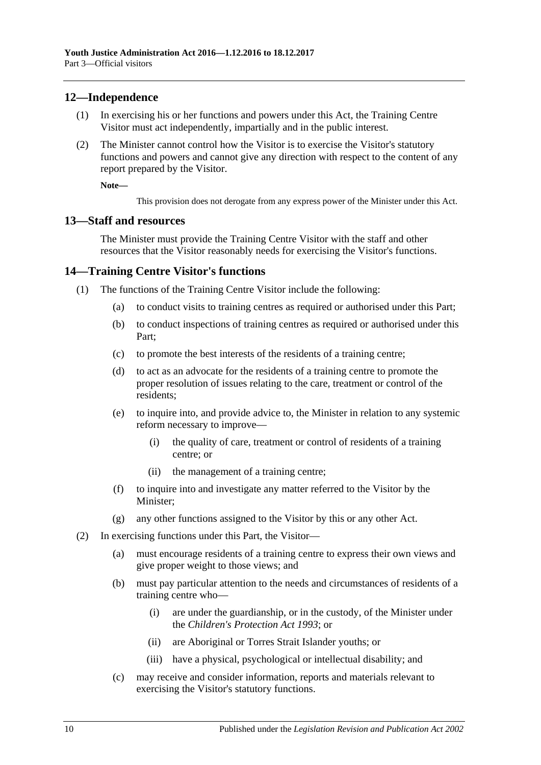#### <span id="page-9-0"></span>**12—Independence**

- (1) In exercising his or her functions and powers under this Act, the Training Centre Visitor must act independently, impartially and in the public interest.
- (2) The Minister cannot control how the Visitor is to exercise the Visitor's statutory functions and powers and cannot give any direction with respect to the content of any report prepared by the Visitor.

**Note—**

This provision does not derogate from any express power of the Minister under this Act.

#### <span id="page-9-1"></span>**13—Staff and resources**

The Minister must provide the Training Centre Visitor with the staff and other resources that the Visitor reasonably needs for exercising the Visitor's functions.

#### <span id="page-9-2"></span>**14—Training Centre Visitor's functions**

- (1) The functions of the Training Centre Visitor include the following:
	- (a) to conduct visits to training centres as required or authorised under this Part;
	- (b) to conduct inspections of training centres as required or authorised under this Part;
	- (c) to promote the best interests of the residents of a training centre;
	- (d) to act as an advocate for the residents of a training centre to promote the proper resolution of issues relating to the care, treatment or control of the residents;
	- (e) to inquire into, and provide advice to, the Minister in relation to any systemic reform necessary to improve—
		- (i) the quality of care, treatment or control of residents of a training centre; or
		- (ii) the management of a training centre;
	- (f) to inquire into and investigate any matter referred to the Visitor by the Minister;
	- (g) any other functions assigned to the Visitor by this or any other Act.
- (2) In exercising functions under this Part, the Visitor—
	- (a) must encourage residents of a training centre to express their own views and give proper weight to those views; and
	- (b) must pay particular attention to the needs and circumstances of residents of a training centre who—
		- (i) are under the guardianship, or in the custody, of the Minister under the *[Children's Protection Act](http://www.legislation.sa.gov.au/index.aspx?action=legref&type=act&legtitle=Childrens%20Protection%20Act%201993) 1993*; or
		- (ii) are Aboriginal or Torres Strait Islander youths; or
		- (iii) have a physical, psychological or intellectual disability; and
	- (c) may receive and consider information, reports and materials relevant to exercising the Visitor's statutory functions.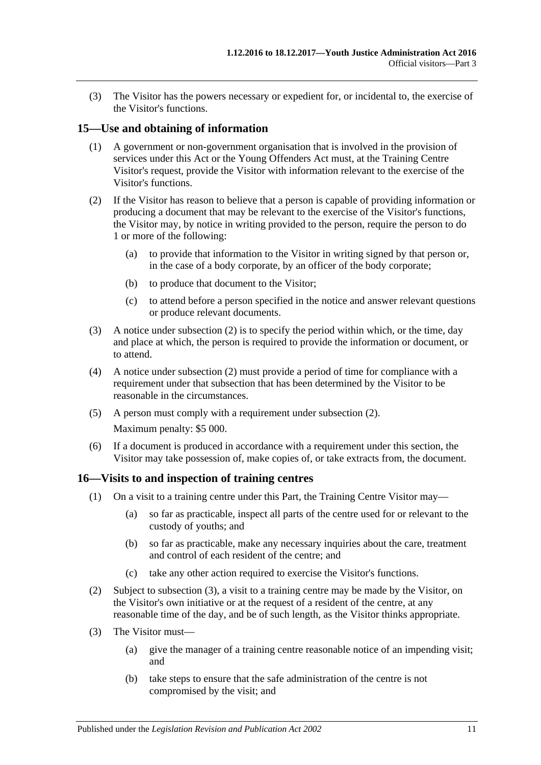(3) The Visitor has the powers necessary or expedient for, or incidental to, the exercise of the Visitor's functions.

#### <span id="page-10-0"></span>**15—Use and obtaining of information**

- (1) A government or non-government organisation that is involved in the provision of services under this Act or the Young Offenders Act must, at the Training Centre Visitor's request, provide the Visitor with information relevant to the exercise of the Visitor's functions.
- <span id="page-10-2"></span>(2) If the Visitor has reason to believe that a person is capable of providing information or producing a document that may be relevant to the exercise of the Visitor's functions, the Visitor may, by notice in writing provided to the person, require the person to do 1 or more of the following:
	- (a) to provide that information to the Visitor in writing signed by that person or, in the case of a body corporate, by an officer of the body corporate;
	- (b) to produce that document to the Visitor;
	- (c) to attend before a person specified in the notice and answer relevant questions or produce relevant documents.
- (3) A notice under [subsection](#page-10-2) (2) is to specify the period within which, or the time, day and place at which, the person is required to provide the information or document, or to attend.
- (4) A notice under [subsection](#page-10-2) (2) must provide a period of time for compliance with a requirement under that subsection that has been determined by the Visitor to be reasonable in the circumstances.
- (5) A person must comply with a requirement under [subsection](#page-10-2) (2). Maximum penalty: \$5 000.
- (6) If a document is produced in accordance with a requirement under this section, the Visitor may take possession of, make copies of, or take extracts from, the document.

#### <span id="page-10-1"></span>**16—Visits to and inspection of training centres**

- (1) On a visit to a training centre under this Part, the Training Centre Visitor may—
	- (a) so far as practicable, inspect all parts of the centre used for or relevant to the custody of youths; and
	- (b) so far as practicable, make any necessary inquiries about the care, treatment and control of each resident of the centre; and
	- (c) take any other action required to exercise the Visitor's functions.
- (2) Subject to [subsection](#page-10-3) (3), a visit to a training centre may be made by the Visitor, on the Visitor's own initiative or at the request of a resident of the centre, at any reasonable time of the day, and be of such length, as the Visitor thinks appropriate.
- <span id="page-10-4"></span><span id="page-10-3"></span>(3) The Visitor must—
	- (a) give the manager of a training centre reasonable notice of an impending visit; and
	- (b) take steps to ensure that the safe administration of the centre is not compromised by the visit; and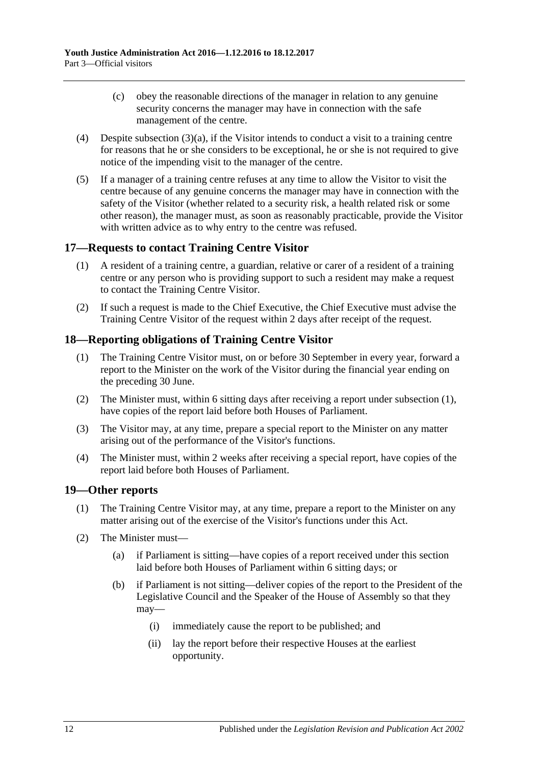- (c) obey the reasonable directions of the manager in relation to any genuine security concerns the manager may have in connection with the safe management of the centre.
- (4) Despite [subsection](#page-10-4)  $(3)(a)$ , if the Visitor intends to conduct a visit to a training centre for reasons that he or she considers to be exceptional, he or she is not required to give notice of the impending visit to the manager of the centre.
- (5) If a manager of a training centre refuses at any time to allow the Visitor to visit the centre because of any genuine concerns the manager may have in connection with the safety of the Visitor (whether related to a security risk, a health related risk or some other reason), the manager must, as soon as reasonably practicable, provide the Visitor with written advice as to why entry to the centre was refused.

## <span id="page-11-0"></span>**17—Requests to contact Training Centre Visitor**

- (1) A resident of a training centre, a guardian, relative or carer of a resident of a training centre or any person who is providing support to such a resident may make a request to contact the Training Centre Visitor.
- (2) If such a request is made to the Chief Executive, the Chief Executive must advise the Training Centre Visitor of the request within 2 days after receipt of the request.

## <span id="page-11-3"></span><span id="page-11-1"></span>**18—Reporting obligations of Training Centre Visitor**

- (1) The Training Centre Visitor must, on or before 30 September in every year, forward a report to the Minister on the work of the Visitor during the financial year ending on the preceding 30 June.
- (2) The Minister must, within 6 sitting days after receiving a report under [subsection](#page-11-3) (1), have copies of the report laid before both Houses of Parliament.
- (3) The Visitor may, at any time, prepare a special report to the Minister on any matter arising out of the performance of the Visitor's functions.
- (4) The Minister must, within 2 weeks after receiving a special report, have copies of the report laid before both Houses of Parliament.

#### <span id="page-11-2"></span>**19—Other reports**

- (1) The Training Centre Visitor may, at any time, prepare a report to the Minister on any matter arising out of the exercise of the Visitor's functions under this Act.
- <span id="page-11-4"></span>(2) The Minister must—
	- (a) if Parliament is sitting—have copies of a report received under this section laid before both Houses of Parliament within 6 sitting days; or
	- (b) if Parliament is not sitting—deliver copies of the report to the President of the Legislative Council and the Speaker of the House of Assembly so that they may—
		- (i) immediately cause the report to be published; and
		- (ii) lay the report before their respective Houses at the earliest opportunity.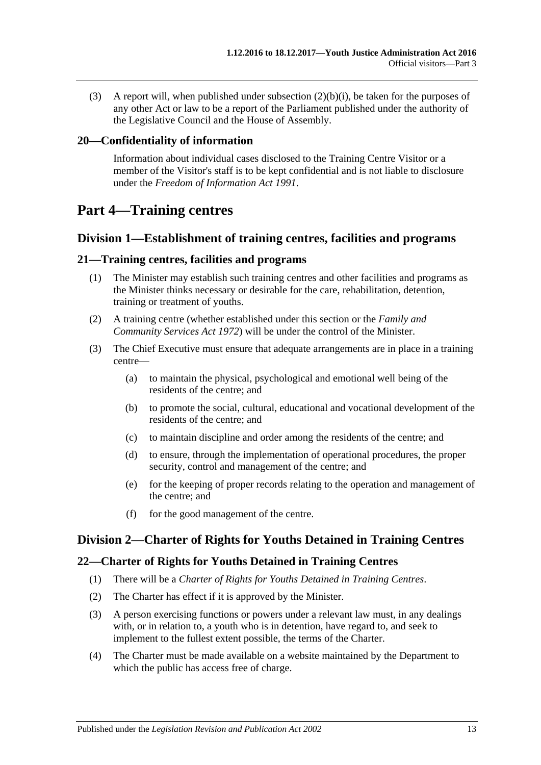(3) A report will, when published under [subsection](#page-11-4) (2)(b)(i), be taken for the purposes of any other Act or law to be a report of the Parliament published under the authority of the Legislative Council and the House of Assembly.

#### <span id="page-12-0"></span>**20—Confidentiality of information**

Information about individual cases disclosed to the Training Centre Visitor or a member of the Visitor's staff is to be kept confidential and is not liable to disclosure under the *[Freedom of Information Act](http://www.legislation.sa.gov.au/index.aspx?action=legref&type=act&legtitle=Freedom%20of%20Information%20Act%201991) 1991*.

# <span id="page-12-1"></span>**Part 4—Training centres**

### <span id="page-12-2"></span>**Division 1—Establishment of training centres, facilities and programs**

#### <span id="page-12-3"></span>**21—Training centres, facilities and programs**

- (1) The Minister may establish such training centres and other facilities and programs as the Minister thinks necessary or desirable for the care, rehabilitation, detention, training or treatment of youths.
- (2) A training centre (whether established under this section or the *[Family and](http://www.legislation.sa.gov.au/index.aspx?action=legref&type=act&legtitle=Family%20and%20Community%20Services%20Act%201972)  [Community Services Act](http://www.legislation.sa.gov.au/index.aspx?action=legref&type=act&legtitle=Family%20and%20Community%20Services%20Act%201972) 1972*) will be under the control of the Minister.
- (3) The Chief Executive must ensure that adequate arrangements are in place in a training centre—
	- (a) to maintain the physical, psychological and emotional well being of the residents of the centre; and
	- (b) to promote the social, cultural, educational and vocational development of the residents of the centre; and
	- (c) to maintain discipline and order among the residents of the centre; and
	- (d) to ensure, through the implementation of operational procedures, the proper security, control and management of the centre; and
	- (e) for the keeping of proper records relating to the operation and management of the centre; and
	- (f) for the good management of the centre.

## <span id="page-12-4"></span>**Division 2—Charter of Rights for Youths Detained in Training Centres**

#### <span id="page-12-5"></span>**22—Charter of Rights for Youths Detained in Training Centres**

- (1) There will be a *Charter of Rights for Youths Detained in Training Centres*.
- (2) The Charter has effect if it is approved by the Minister.
- (3) A person exercising functions or powers under a relevant law must, in any dealings with, or in relation to, a youth who is in detention, have regard to, and seek to implement to the fullest extent possible, the terms of the Charter.
- (4) The Charter must be made available on a website maintained by the Department to which the public has access free of charge.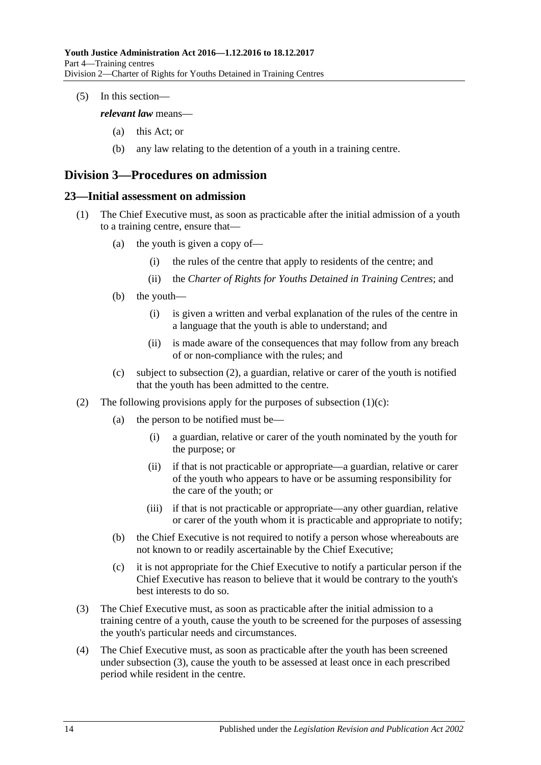(5) In this section—

*relevant law* means—

- (a) this Act; or
- (b) any law relating to the detention of a youth in a training centre.

# <span id="page-13-0"></span>**Division 3—Procedures on admission**

#### <span id="page-13-1"></span>**23—Initial assessment on admission**

- (1) The Chief Executive must, as soon as practicable after the initial admission of a youth to a training centre, ensure that—
	- (a) the youth is given a copy of—
		- (i) the rules of the centre that apply to residents of the centre; and
		- (ii) the *Charter of Rights for Youths Detained in Training Centres*; and
	- (b) the youth—
		- (i) is given a written and verbal explanation of the rules of the centre in a language that the youth is able to understand; and
		- (ii) is made aware of the consequences that may follow from any breach of or non-compliance with the rules; and
	- (c) subject to [subsection](#page-13-2) (2), a guardian, relative or carer of the youth is notified that the youth has been admitted to the centre.
- <span id="page-13-3"></span><span id="page-13-2"></span>(2) The following provisions apply for the purposes of [subsection](#page-13-3)  $(1)(c)$ :
	- (a) the person to be notified must be—
		- (i) a guardian, relative or carer of the youth nominated by the youth for the purpose; or
		- (ii) if that is not practicable or appropriate—a guardian, relative or carer of the youth who appears to have or be assuming responsibility for the care of the youth; or
		- (iii) if that is not practicable or appropriate—any other guardian, relative or carer of the youth whom it is practicable and appropriate to notify;
	- (b) the Chief Executive is not required to notify a person whose whereabouts are not known to or readily ascertainable by the Chief Executive;
	- (c) it is not appropriate for the Chief Executive to notify a particular person if the Chief Executive has reason to believe that it would be contrary to the youth's best interests to do so.
- <span id="page-13-4"></span>(3) The Chief Executive must, as soon as practicable after the initial admission to a training centre of a youth, cause the youth to be screened for the purposes of assessing the youth's particular needs and circumstances.
- <span id="page-13-5"></span>(4) The Chief Executive must, as soon as practicable after the youth has been screened under [subsection](#page-13-4) (3), cause the youth to be assessed at least once in each prescribed period while resident in the centre.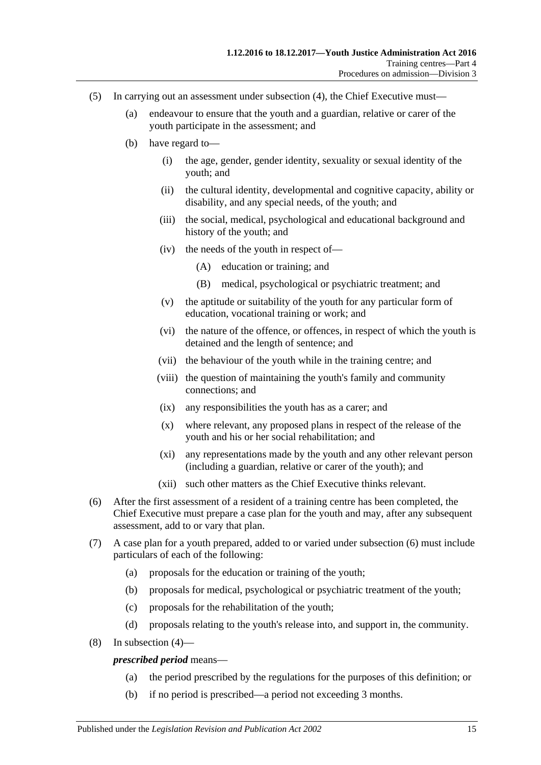- (5) In carrying out an assessment under [subsection](#page-13-5) (4), the Chief Executive must—
	- (a) endeavour to ensure that the youth and a guardian, relative or carer of the youth participate in the assessment; and
	- (b) have regard to—
		- (i) the age, gender, gender identity, sexuality or sexual identity of the youth; and
		- (ii) the cultural identity, developmental and cognitive capacity, ability or disability, and any special needs, of the youth; and
		- (iii) the social, medical, psychological and educational background and history of the youth; and
		- (iv) the needs of the youth in respect of—
			- (A) education or training; and
			- (B) medical, psychological or psychiatric treatment; and
		- (v) the aptitude or suitability of the youth for any particular form of education, vocational training or work; and
		- (vi) the nature of the offence, or offences, in respect of which the youth is detained and the length of sentence; and
		- (vii) the behaviour of the youth while in the training centre; and
		- (viii) the question of maintaining the youth's family and community connections; and
		- (ix) any responsibilities the youth has as a carer; and
		- (x) where relevant, any proposed plans in respect of the release of the youth and his or her social rehabilitation; and
		- (xi) any representations made by the youth and any other relevant person (including a guardian, relative or carer of the youth); and
		- (xii) such other matters as the Chief Executive thinks relevant.
- <span id="page-14-0"></span>(6) After the first assessment of a resident of a training centre has been completed, the Chief Executive must prepare a case plan for the youth and may, after any subsequent assessment, add to or vary that plan.
- (7) A case plan for a youth prepared, added to or varied under [subsection](#page-14-0) (6) must include particulars of each of the following:
	- (a) proposals for the education or training of the youth;
	- (b) proposals for medical, psychological or psychiatric treatment of the youth;
	- (c) proposals for the rehabilitation of the youth;
	- (d) proposals relating to the youth's release into, and support in, the community.
- (8) In [subsection](#page-13-5) (4)—

#### *prescribed period* means—

- (a) the period prescribed by the regulations for the purposes of this definition; or
- (b) if no period is prescribed—a period not exceeding 3 months.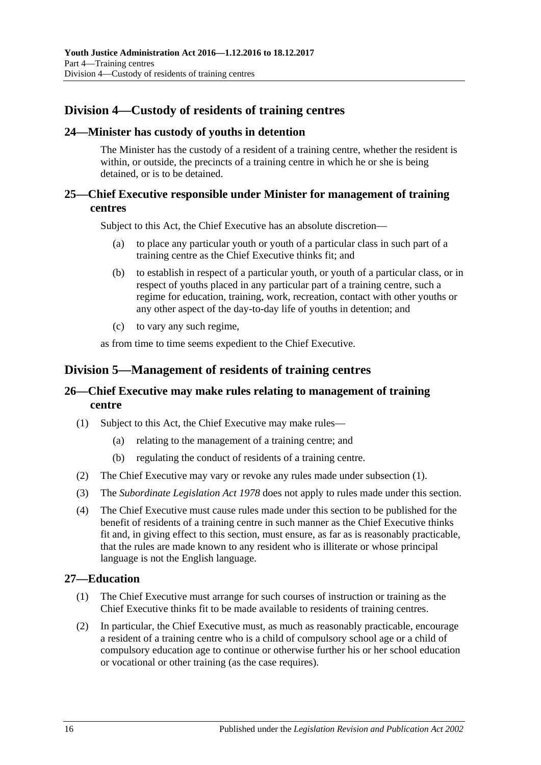# <span id="page-15-0"></span>**Division 4—Custody of residents of training centres**

#### <span id="page-15-1"></span>**24—Minister has custody of youths in detention**

The Minister has the custody of a resident of a training centre, whether the resident is within, or outside, the precincts of a training centre in which he or she is being detained, or is to be detained.

#### <span id="page-15-2"></span>**25—Chief Executive responsible under Minister for management of training centres**

Subject to this Act, the Chief Executive has an absolute discretion—

- (a) to place any particular youth or youth of a particular class in such part of a training centre as the Chief Executive thinks fit; and
- (b) to establish in respect of a particular youth, or youth of a particular class, or in respect of youths placed in any particular part of a training centre, such a regime for education, training, work, recreation, contact with other youths or any other aspect of the day-to-day life of youths in detention; and
- (c) to vary any such regime,

as from time to time seems expedient to the Chief Executive.

#### <span id="page-15-3"></span>**Division 5—Management of residents of training centres**

#### <span id="page-15-4"></span>**26—Chief Executive may make rules relating to management of training centre**

- <span id="page-15-6"></span>(1) Subject to this Act, the Chief Executive may make rules—
	- (a) relating to the management of a training centre; and
	- (b) regulating the conduct of residents of a training centre.
- (2) The Chief Executive may vary or revoke any rules made under [subsection](#page-15-6) (1).
- (3) The *[Subordinate Legislation Act](http://www.legislation.sa.gov.au/index.aspx?action=legref&type=act&legtitle=Subordinate%20Legislation%20Act%201978) 1978* does not apply to rules made under this section.
- (4) The Chief Executive must cause rules made under this section to be published for the benefit of residents of a training centre in such manner as the Chief Executive thinks fit and, in giving effect to this section, must ensure, as far as is reasonably practicable, that the rules are made known to any resident who is illiterate or whose principal language is not the English language.

#### <span id="page-15-5"></span>**27—Education**

- (1) The Chief Executive must arrange for such courses of instruction or training as the Chief Executive thinks fit to be made available to residents of training centres.
- (2) In particular, the Chief Executive must, as much as reasonably practicable, encourage a resident of a training centre who is a child of compulsory school age or a child of compulsory education age to continue or otherwise further his or her school education or vocational or other training (as the case requires).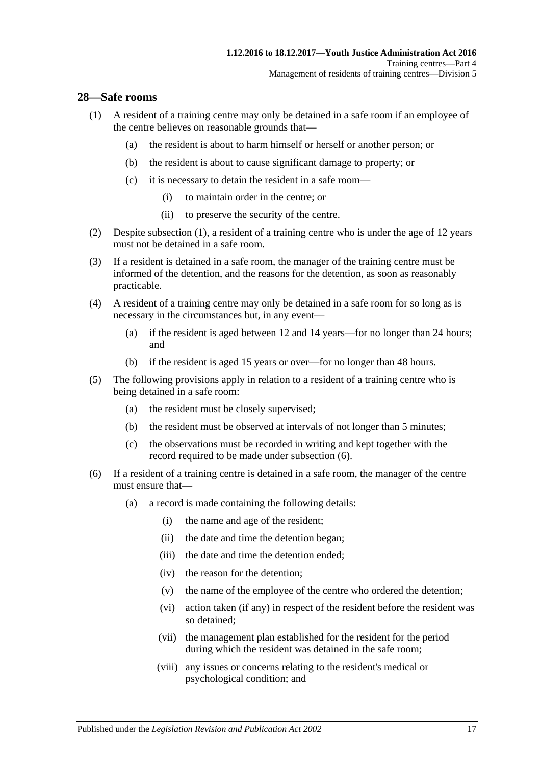#### <span id="page-16-1"></span><span id="page-16-0"></span>**28—Safe rooms**

- (1) A resident of a training centre may only be detained in a safe room if an employee of the centre believes on reasonable grounds that—
	- (a) the resident is about to harm himself or herself or another person; or
	- (b) the resident is about to cause significant damage to property; or
	- (c) it is necessary to detain the resident in a safe room—
		- (i) to maintain order in the centre; or
		- (ii) to preserve the security of the centre.
- (2) Despite [subsection](#page-16-1) (1), a resident of a training centre who is under the age of 12 years must not be detained in a safe room.
- (3) If a resident is detained in a safe room, the manager of the training centre must be informed of the detention, and the reasons for the detention, as soon as reasonably practicable.
- (4) A resident of a training centre may only be detained in a safe room for so long as is necessary in the circumstances but, in any event—
	- (a) if the resident is aged between 12 and 14 years—for no longer than 24 hours; and
	- (b) if the resident is aged 15 years or over—for no longer than 48 hours.
- (5) The following provisions apply in relation to a resident of a training centre who is being detained in a safe room:
	- (a) the resident must be closely supervised;
	- (b) the resident must be observed at intervals of not longer than 5 minutes;
	- (c) the observations must be recorded in writing and kept together with the record required to be made under [subsection](#page-16-2) (6).
- <span id="page-16-2"></span>(6) If a resident of a training centre is detained in a safe room, the manager of the centre must ensure that—
	- (a) a record is made containing the following details:
		- (i) the name and age of the resident;
		- (ii) the date and time the detention began;
		- (iii) the date and time the detention ended;
		- (iv) the reason for the detention;
		- (v) the name of the employee of the centre who ordered the detention;
		- (vi) action taken (if any) in respect of the resident before the resident was so detained;
		- (vii) the management plan established for the resident for the period during which the resident was detained in the safe room;
		- (viii) any issues or concerns relating to the resident's medical or psychological condition; and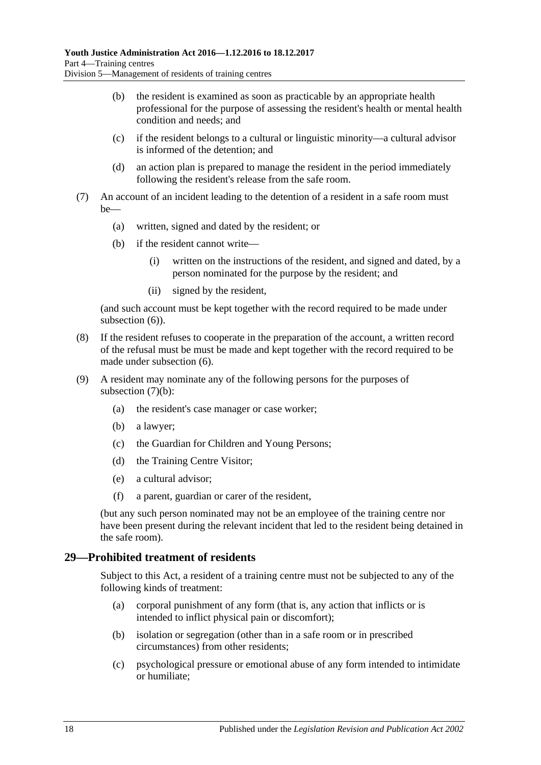- (b) the resident is examined as soon as practicable by an appropriate health professional for the purpose of assessing the resident's health or mental health condition and needs; and
- (c) if the resident belongs to a cultural or linguistic minority—a cultural advisor is informed of the detention; and
- (d) an action plan is prepared to manage the resident in the period immediately following the resident's release from the safe room.
- <span id="page-17-1"></span>(7) An account of an incident leading to the detention of a resident in a safe room must be—
	- (a) written, signed and dated by the resident; or
	- (b) if the resident cannot write—
		- (i) written on the instructions of the resident, and signed and dated, by a person nominated for the purpose by the resident; and
		- (ii) signed by the resident,

(and such account must be kept together with the record required to be made under [subsection](#page-16-2)  $(6)$ ).

- (8) If the resident refuses to cooperate in the preparation of the account, a written record of the refusal must be must be made and kept together with the record required to be made under [subsection](#page-16-2) (6).
- (9) A resident may nominate any of the following persons for the purposes of [subsection](#page-17-1)  $(7)(b)$ :
	- (a) the resident's case manager or case worker;
	- (b) a lawyer;
	- (c) the Guardian for Children and Young Persons;
	- (d) the Training Centre Visitor;
	- (e) a cultural advisor;
	- (f) a parent, guardian or carer of the resident,

(but any such person nominated may not be an employee of the training centre nor have been present during the relevant incident that led to the resident being detained in the safe room).

#### <span id="page-17-0"></span>**29—Prohibited treatment of residents**

Subject to this Act, a resident of a training centre must not be subjected to any of the following kinds of treatment:

- (a) corporal punishment of any form (that is, any action that inflicts or is intended to inflict physical pain or discomfort);
- (b) isolation or segregation (other than in a safe room or in prescribed circumstances) from other residents;
- (c) psychological pressure or emotional abuse of any form intended to intimidate or humiliate;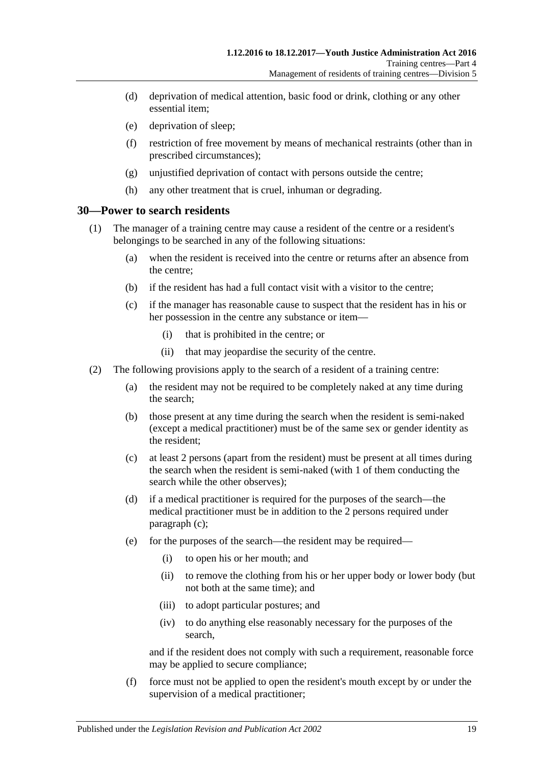- (d) deprivation of medical attention, basic food or drink, clothing or any other essential item;
- (e) deprivation of sleep;
- (f) restriction of free movement by means of mechanical restraints (other than in prescribed circumstances);
- (g) unjustified deprivation of contact with persons outside the centre;
- (h) any other treatment that is cruel, inhuman or degrading.

#### <span id="page-18-0"></span>**30—Power to search residents**

- (1) The manager of a training centre may cause a resident of the centre or a resident's belongings to be searched in any of the following situations:
	- (a) when the resident is received into the centre or returns after an absence from the centre;
	- (b) if the resident has had a full contact visit with a visitor to the centre;
	- (c) if the manager has reasonable cause to suspect that the resident has in his or her possession in the centre any substance or item—
		- (i) that is prohibited in the centre; or
		- (ii) that may jeopardise the security of the centre.
- <span id="page-18-2"></span><span id="page-18-1"></span>(2) The following provisions apply to the search of a resident of a training centre:
	- (a) the resident may not be required to be completely naked at any time during the search;
	- (b) those present at any time during the search when the resident is semi-naked (except a medical practitioner) must be of the same sex or gender identity as the resident;
	- (c) at least 2 persons (apart from the resident) must be present at all times during the search when the resident is semi-naked (with 1 of them conducting the search while the other observes);
	- (d) if a medical practitioner is required for the purposes of the search—the medical practitioner must be in addition to the 2 persons required under [paragraph](#page-18-1) (c);
	- (e) for the purposes of the search—the resident may be required—
		- (i) to open his or her mouth; and
		- (ii) to remove the clothing from his or her upper body or lower body (but not both at the same time); and
		- (iii) to adopt particular postures; and
		- (iv) to do anything else reasonably necessary for the purposes of the search,

and if the resident does not comply with such a requirement, reasonable force may be applied to secure compliance;

(f) force must not be applied to open the resident's mouth except by or under the supervision of a medical practitioner;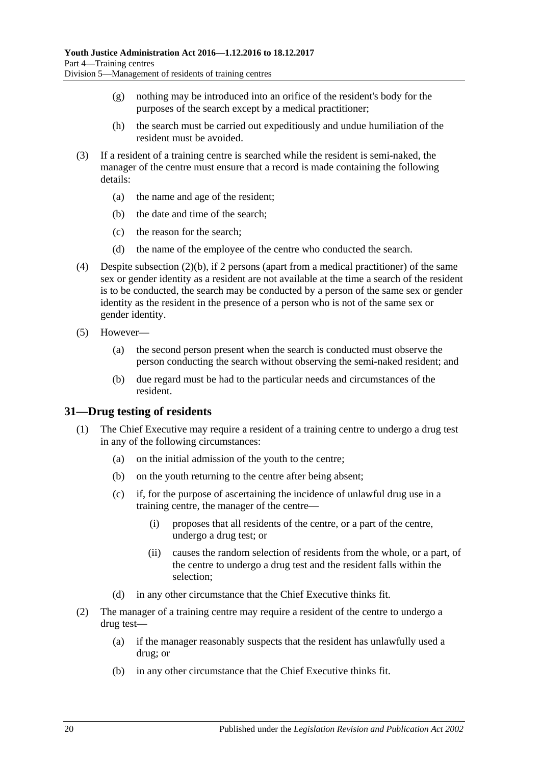- (g) nothing may be introduced into an orifice of the resident's body for the purposes of the search except by a medical practitioner;
- (h) the search must be carried out expeditiously and undue humiliation of the resident must be avoided.
- (3) If a resident of a training centre is searched while the resident is semi-naked, the manager of the centre must ensure that a record is made containing the following details:
	- (a) the name and age of the resident;
	- (b) the date and time of the search;
	- (c) the reason for the search;
	- (d) the name of the employee of the centre who conducted the search.
- (4) Despite [subsection](#page-18-2) (2)(b), if 2 persons (apart from a medical practitioner) of the same sex or gender identity as a resident are not available at the time a search of the resident is to be conducted, the search may be conducted by a person of the same sex or gender identity as the resident in the presence of a person who is not of the same sex or gender identity.
- (5) However—
	- (a) the second person present when the search is conducted must observe the person conducting the search without observing the semi-naked resident; and
	- (b) due regard must be had to the particular needs and circumstances of the resident.

#### <span id="page-19-0"></span>**31—Drug testing of residents**

- (1) The Chief Executive may require a resident of a training centre to undergo a drug test in any of the following circumstances:
	- (a) on the initial admission of the youth to the centre;
	- (b) on the youth returning to the centre after being absent;
	- (c) if, for the purpose of ascertaining the incidence of unlawful drug use in a training centre, the manager of the centre—
		- (i) proposes that all residents of the centre, or a part of the centre, undergo a drug test; or
		- (ii) causes the random selection of residents from the whole, or a part, of the centre to undergo a drug test and the resident falls within the selection;
	- (d) in any other circumstance that the Chief Executive thinks fit.
- <span id="page-19-2"></span><span id="page-19-1"></span>(2) The manager of a training centre may require a resident of the centre to undergo a drug test—
	- (a) if the manager reasonably suspects that the resident has unlawfully used a drug; or
	- (b) in any other circumstance that the Chief Executive thinks fit.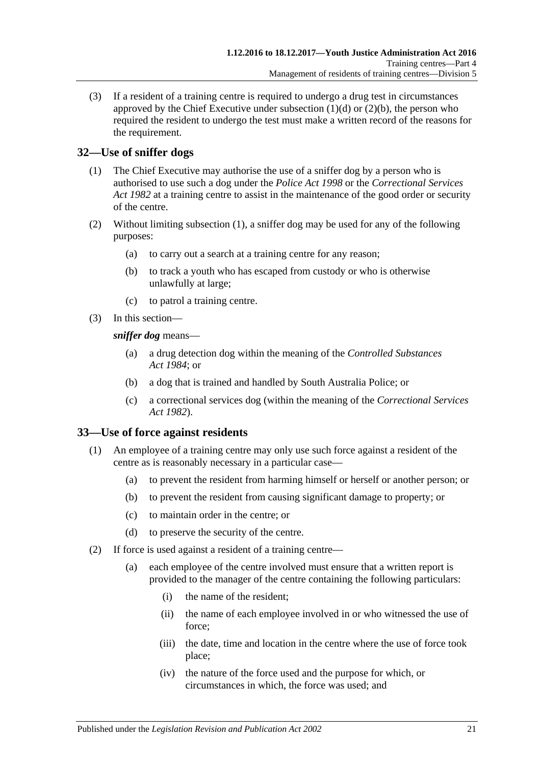(3) If a resident of a training centre is required to undergo a drug test in circumstances approved by the Chief Executive under [subsection](#page-19-1)  $(1)(d)$  or  $(2)(b)$ , the person who required the resident to undergo the test must make a written record of the reasons for the requirement.

## <span id="page-20-2"></span><span id="page-20-0"></span>**32—Use of sniffer dogs**

- (1) The Chief Executive may authorise the use of a sniffer dog by a person who is authorised to use such a dog under the *[Police Act](http://www.legislation.sa.gov.au/index.aspx?action=legref&type=act&legtitle=Police%20Act%201998) 1998* or the *[Correctional Services](http://www.legislation.sa.gov.au/index.aspx?action=legref&type=act&legtitle=Correctional%20Services%20Act%201982)  Act [1982](http://www.legislation.sa.gov.au/index.aspx?action=legref&type=act&legtitle=Correctional%20Services%20Act%201982)* at a training centre to assist in the maintenance of the good order or security of the centre.
- (2) Without limiting [subsection](#page-20-2) (1), a sniffer dog may be used for any of the following purposes:
	- (a) to carry out a search at a training centre for any reason;
	- (b) to track a youth who has escaped from custody or who is otherwise unlawfully at large;
	- (c) to patrol a training centre.
- (3) In this section—

*sniffer dog* means—

- (a) a drug detection dog within the meaning of the *[Controlled Substances](http://www.legislation.sa.gov.au/index.aspx?action=legref&type=act&legtitle=Controlled%20Substances%20Act%201984)  Act [1984](http://www.legislation.sa.gov.au/index.aspx?action=legref&type=act&legtitle=Controlled%20Substances%20Act%201984)*; or
- (b) a dog that is trained and handled by South Australia Police; or
- (c) a correctional services dog (within the meaning of the *[Correctional Services](http://www.legislation.sa.gov.au/index.aspx?action=legref&type=act&legtitle=Correctional%20Services%20Act%201982)  Act [1982](http://www.legislation.sa.gov.au/index.aspx?action=legref&type=act&legtitle=Correctional%20Services%20Act%201982)*).

## <span id="page-20-1"></span>**33—Use of force against residents**

- (1) An employee of a training centre may only use such force against a resident of the centre as is reasonably necessary in a particular case—
	- (a) to prevent the resident from harming himself or herself or another person; or
	- (b) to prevent the resident from causing significant damage to property; or
	- (c) to maintain order in the centre; or
	- (d) to preserve the security of the centre.
- <span id="page-20-3"></span>(2) If force is used against a resident of a training centre—
	- (a) each employee of the centre involved must ensure that a written report is provided to the manager of the centre containing the following particulars:
		- (i) the name of the resident;
		- (ii) the name of each employee involved in or who witnessed the use of force;
		- (iii) the date, time and location in the centre where the use of force took place;
		- (iv) the nature of the force used and the purpose for which, or circumstances in which, the force was used; and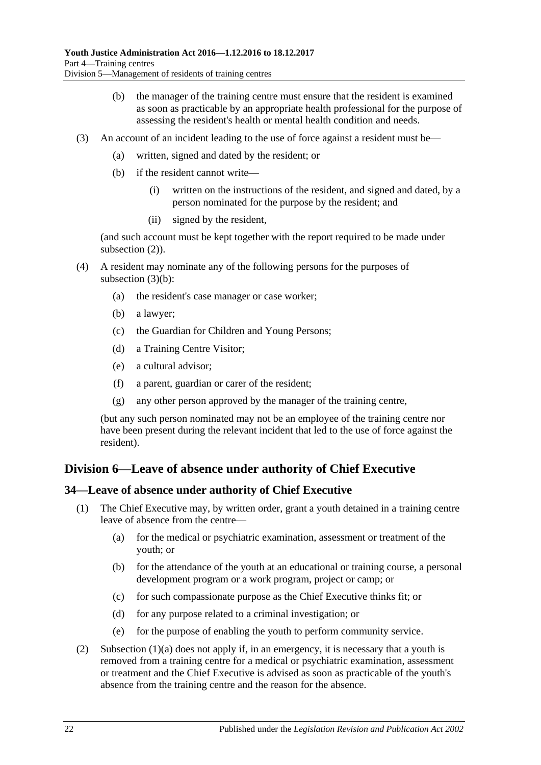- (b) the manager of the training centre must ensure that the resident is examined as soon as practicable by an appropriate health professional for the purpose of assessing the resident's health or mental health condition and needs.
- <span id="page-21-2"></span>(3) An account of an incident leading to the use of force against a resident must be—
	- (a) written, signed and dated by the resident; or
	- (b) if the resident cannot write—
		- (i) written on the instructions of the resident, and signed and dated, by a person nominated for the purpose by the resident; and
		- (ii) signed by the resident,

(and such account must be kept together with the report required to be made under [subsection](#page-20-3)  $(2)$ ).

- (4) A resident may nominate any of the following persons for the purposes of [subsection](#page-21-2) (3)(b):
	- (a) the resident's case manager or case worker;
	- (b) a lawyer;
	- (c) the Guardian for Children and Young Persons;
	- (d) a Training Centre Visitor;
	- (e) a cultural advisor;
	- (f) a parent, guardian or carer of the resident;
	- (g) any other person approved by the manager of the training centre,

(but any such person nominated may not be an employee of the training centre nor have been present during the relevant incident that led to the use of force against the resident).

# <span id="page-21-0"></span>**Division 6—Leave of absence under authority of Chief Executive**

## <span id="page-21-1"></span>**34—Leave of absence under authority of Chief Executive**

- <span id="page-21-3"></span>(1) The Chief Executive may, by written order, grant a youth detained in a training centre leave of absence from the centre—
	- (a) for the medical or psychiatric examination, assessment or treatment of the youth; or
	- (b) for the attendance of the youth at an educational or training course, a personal development program or a work program, project or camp; or
	- (c) for such compassionate purpose as the Chief Executive thinks fit; or
	- (d) for any purpose related to a criminal investigation; or
	- (e) for the purpose of enabling the youth to perform community service.
- (2) [Subsection \(1\)\(a\)](#page-21-3) does not apply if, in an emergency, it is necessary that a youth is removed from a training centre for a medical or psychiatric examination, assessment or treatment and the Chief Executive is advised as soon as practicable of the youth's absence from the training centre and the reason for the absence.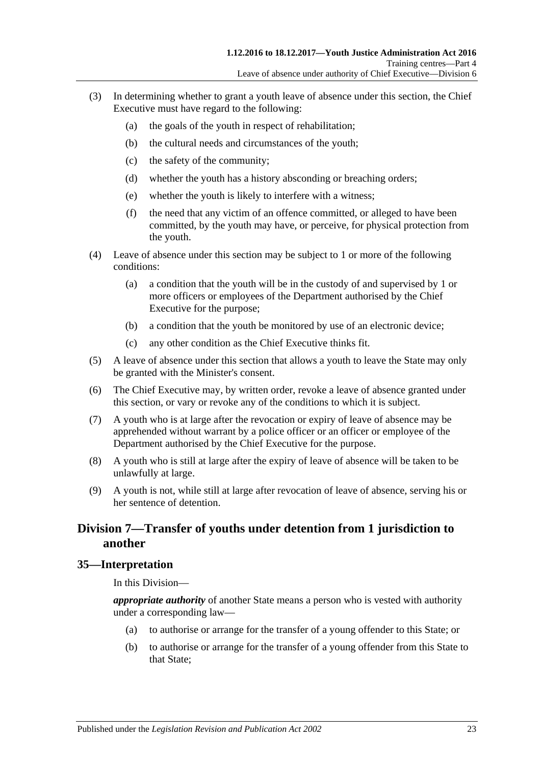- (3) In determining whether to grant a youth leave of absence under this section, the Chief Executive must have regard to the following:
	- (a) the goals of the youth in respect of rehabilitation;
	- (b) the cultural needs and circumstances of the youth;
	- (c) the safety of the community;
	- (d) whether the youth has a history absconding or breaching orders;
	- (e) whether the youth is likely to interfere with a witness;
	- (f) the need that any victim of an offence committed, or alleged to have been committed, by the youth may have, or perceive, for physical protection from the youth.
- (4) Leave of absence under this section may be subject to 1 or more of the following conditions:
	- (a) a condition that the youth will be in the custody of and supervised by 1 or more officers or employees of the Department authorised by the Chief Executive for the purpose;
	- (b) a condition that the youth be monitored by use of an electronic device;
	- (c) any other condition as the Chief Executive thinks fit.
- (5) A leave of absence under this section that allows a youth to leave the State may only be granted with the Minister's consent.
- (6) The Chief Executive may, by written order, revoke a leave of absence granted under this section, or vary or revoke any of the conditions to which it is subject.
- (7) A youth who is at large after the revocation or expiry of leave of absence may be apprehended without warrant by a police officer or an officer or employee of the Department authorised by the Chief Executive for the purpose.
- (8) A youth who is still at large after the expiry of leave of absence will be taken to be unlawfully at large.
- (9) A youth is not, while still at large after revocation of leave of absence, serving his or her sentence of detention.

# <span id="page-22-0"></span>**Division 7—Transfer of youths under detention from 1 jurisdiction to another**

#### <span id="page-22-1"></span>**35—Interpretation**

In this Division—

*appropriate authority* of another State means a person who is vested with authority under a corresponding law—

- (a) to authorise or arrange for the transfer of a young offender to this State; or
- (b) to authorise or arrange for the transfer of a young offender from this State to that State;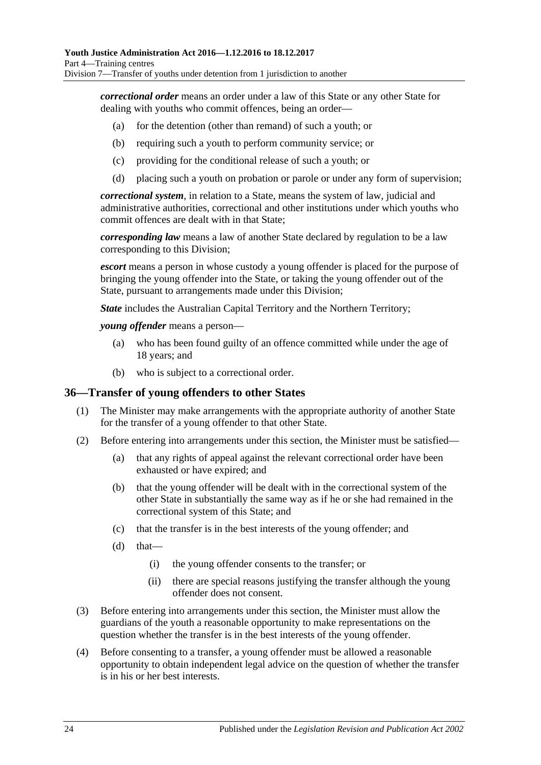*correctional order* means an order under a law of this State or any other State for dealing with youths who commit offences, being an order—

- (a) for the detention (other than remand) of such a youth; or
- (b) requiring such a youth to perform community service; or
- (c) providing for the conditional release of such a youth; or
- (d) placing such a youth on probation or parole or under any form of supervision;

*correctional system*, in relation to a State, means the system of law, judicial and administrative authorities, correctional and other institutions under which youths who commit offences are dealt with in that State;

*corresponding law* means a law of another State declared by regulation to be a law corresponding to this Division;

*escort* means a person in whose custody a young offender is placed for the purpose of bringing the young offender into the State, or taking the young offender out of the State, pursuant to arrangements made under this Division;

*State* includes the Australian Capital Territory and the Northern Territory;

*young offender* means a person—

- (a) who has been found guilty of an offence committed while under the age of 18 years; and
- (b) who is subject to a correctional order.

#### <span id="page-23-0"></span>**36—Transfer of young offenders to other States**

- (1) The Minister may make arrangements with the appropriate authority of another State for the transfer of a young offender to that other State.
- (2) Before entering into arrangements under this section, the Minister must be satisfied—
	- (a) that any rights of appeal against the relevant correctional order have been exhausted or have expired; and
	- (b) that the young offender will be dealt with in the correctional system of the other State in substantially the same way as if he or she had remained in the correctional system of this State; and
	- (c) that the transfer is in the best interests of the young offender; and
	- $(d)$  that—
		- (i) the young offender consents to the transfer; or
		- (ii) there are special reasons justifying the transfer although the young offender does not consent.
- (3) Before entering into arrangements under this section, the Minister must allow the guardians of the youth a reasonable opportunity to make representations on the question whether the transfer is in the best interests of the young offender.
- (4) Before consenting to a transfer, a young offender must be allowed a reasonable opportunity to obtain independent legal advice on the question of whether the transfer is in his or her best interests.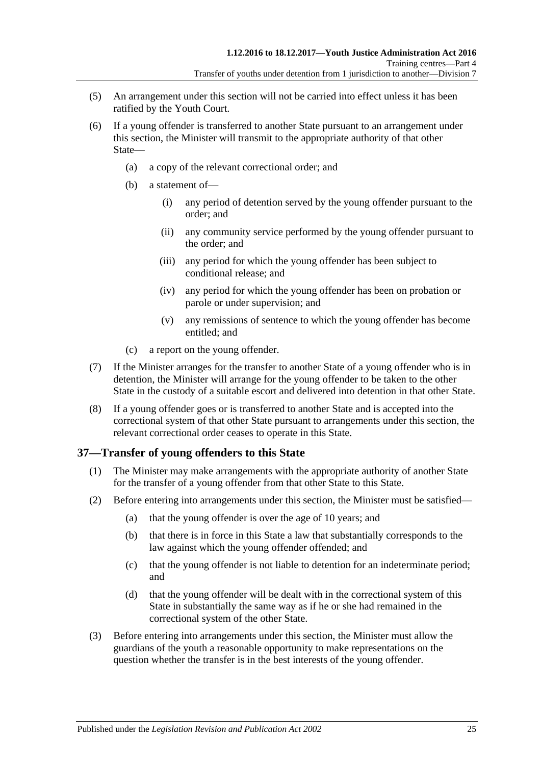- (5) An arrangement under this section will not be carried into effect unless it has been ratified by the Youth Court.
- (6) If a young offender is transferred to another State pursuant to an arrangement under this section, the Minister will transmit to the appropriate authority of that other State—
	- (a) a copy of the relevant correctional order; and
	- (b) a statement of—
		- (i) any period of detention served by the young offender pursuant to the order; and
		- (ii) any community service performed by the young offender pursuant to the order; and
		- (iii) any period for which the young offender has been subject to conditional release; and
		- (iv) any period for which the young offender has been on probation or parole or under supervision; and
		- (v) any remissions of sentence to which the young offender has become entitled; and
	- (c) a report on the young offender.
- (7) If the Minister arranges for the transfer to another State of a young offender who is in detention, the Minister will arrange for the young offender to be taken to the other State in the custody of a suitable escort and delivered into detention in that other State.
- (8) If a young offender goes or is transferred to another State and is accepted into the correctional system of that other State pursuant to arrangements under this section, the relevant correctional order ceases to operate in this State.

#### <span id="page-24-0"></span>**37—Transfer of young offenders to this State**

- (1) The Minister may make arrangements with the appropriate authority of another State for the transfer of a young offender from that other State to this State.
- (2) Before entering into arrangements under this section, the Minister must be satisfied—
	- (a) that the young offender is over the age of 10 years; and
	- (b) that there is in force in this State a law that substantially corresponds to the law against which the young offender offended; and
	- (c) that the young offender is not liable to detention for an indeterminate period; and
	- (d) that the young offender will be dealt with in the correctional system of this State in substantially the same way as if he or she had remained in the correctional system of the other State.
- (3) Before entering into arrangements under this section, the Minister must allow the guardians of the youth a reasonable opportunity to make representations on the question whether the transfer is in the best interests of the young offender.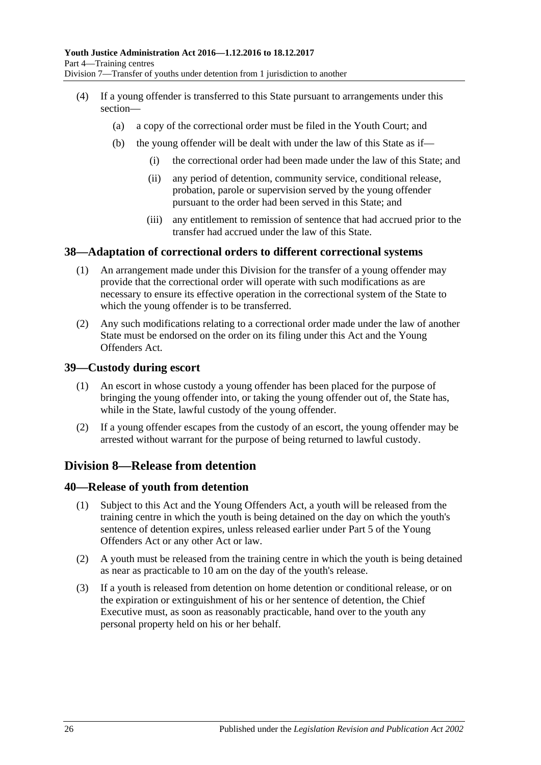- (4) If a young offender is transferred to this State pursuant to arrangements under this section—
	- (a) a copy of the correctional order must be filed in the Youth Court; and
	- (b) the young offender will be dealt with under the law of this State as if—
		- (i) the correctional order had been made under the law of this State; and
		- (ii) any period of detention, community service, conditional release, probation, parole or supervision served by the young offender pursuant to the order had been served in this State; and
		- (iii) any entitlement to remission of sentence that had accrued prior to the transfer had accrued under the law of this State.

#### <span id="page-25-0"></span>**38—Adaptation of correctional orders to different correctional systems**

- (1) An arrangement made under this Division for the transfer of a young offender may provide that the correctional order will operate with such modifications as are necessary to ensure its effective operation in the correctional system of the State to which the young offender is to be transferred.
- (2) Any such modifications relating to a correctional order made under the law of another State must be endorsed on the order on its filing under this Act and the Young Offenders Act.

#### <span id="page-25-1"></span>**39—Custody during escort**

- (1) An escort in whose custody a young offender has been placed for the purpose of bringing the young offender into, or taking the young offender out of, the State has, while in the State, lawful custody of the young offender.
- (2) If a young offender escapes from the custody of an escort, the young offender may be arrested without warrant for the purpose of being returned to lawful custody.

## <span id="page-25-2"></span>**Division 8—Release from detention**

#### <span id="page-25-3"></span>**40—Release of youth from detention**

- (1) Subject to this Act and the Young Offenders Act, a youth will be released from the training centre in which the youth is being detained on the day on which the youth's sentence of detention expires, unless released earlier under Part 5 of the Young Offenders Act or any other Act or law.
- (2) A youth must be released from the training centre in which the youth is being detained as near as practicable to 10 am on the day of the youth's release.
- (3) If a youth is released from detention on home detention or conditional release, or on the expiration or extinguishment of his or her sentence of detention, the Chief Executive must, as soon as reasonably practicable, hand over to the youth any personal property held on his or her behalf.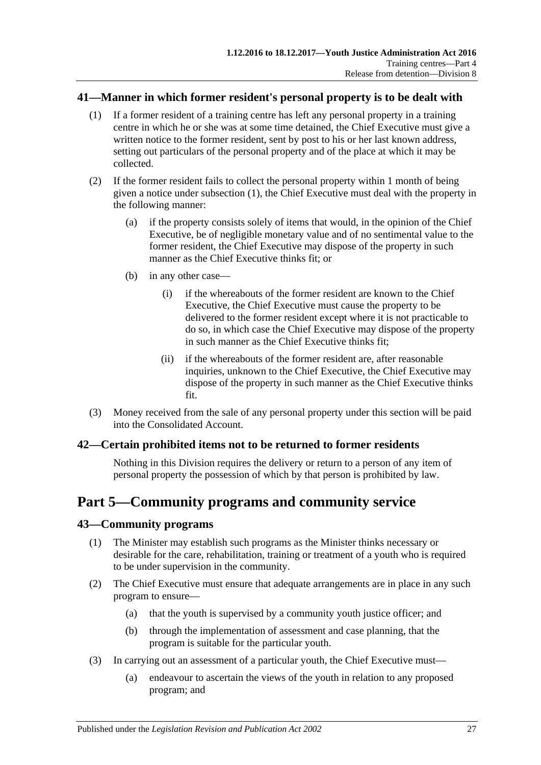#### <span id="page-26-4"></span><span id="page-26-0"></span>**41—Manner in which former resident's personal property is to be dealt with**

- (1) If a former resident of a training centre has left any personal property in a training centre in which he or she was at some time detained, the Chief Executive must give a written notice to the former resident, sent by post to his or her last known address, setting out particulars of the personal property and of the place at which it may be collected.
- (2) If the former resident fails to collect the personal property within 1 month of being given a notice under [subsection](#page-26-4) (1), the Chief Executive must deal with the property in the following manner:
	- (a) if the property consists solely of items that would, in the opinion of the Chief Executive, be of negligible monetary value and of no sentimental value to the former resident, the Chief Executive may dispose of the property in such manner as the Chief Executive thinks fit; or
	- (b) in any other case—
		- (i) if the whereabouts of the former resident are known to the Chief Executive, the Chief Executive must cause the property to be delivered to the former resident except where it is not practicable to do so, in which case the Chief Executive may dispose of the property in such manner as the Chief Executive thinks fit;
		- (ii) if the whereabouts of the former resident are, after reasonable inquiries, unknown to the Chief Executive, the Chief Executive may dispose of the property in such manner as the Chief Executive thinks fit.
- (3) Money received from the sale of any personal property under this section will be paid into the Consolidated Account.

#### <span id="page-26-1"></span>**42—Certain prohibited items not to be returned to former residents**

Nothing in this Division requires the delivery or return to a person of any item of personal property the possession of which by that person is prohibited by law.

# <span id="page-26-2"></span>**Part 5—Community programs and community service**

#### <span id="page-26-3"></span>**43—Community programs**

- (1) The Minister may establish such programs as the Minister thinks necessary or desirable for the care, rehabilitation, training or treatment of a youth who is required to be under supervision in the community.
- (2) The Chief Executive must ensure that adequate arrangements are in place in any such program to ensure—
	- (a) that the youth is supervised by a community youth justice officer; and
	- (b) through the implementation of assessment and case planning, that the program is suitable for the particular youth.
- (3) In carrying out an assessment of a particular youth, the Chief Executive must—
	- (a) endeavour to ascertain the views of the youth in relation to any proposed program; and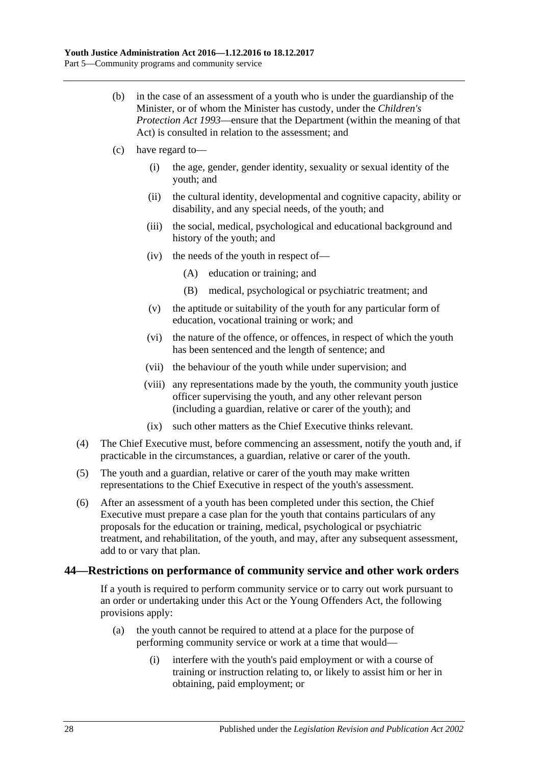- (b) in the case of an assessment of a youth who is under the guardianship of the Minister, or of whom the Minister has custody, under the *[Children's](http://www.legislation.sa.gov.au/index.aspx?action=legref&type=act&legtitle=Childrens%20Protection%20Act%201993)  [Protection Act](http://www.legislation.sa.gov.au/index.aspx?action=legref&type=act&legtitle=Childrens%20Protection%20Act%201993) 1993*—ensure that the Department (within the meaning of that Act) is consulted in relation to the assessment; and
- (c) have regard to—
	- (i) the age, gender, gender identity, sexuality or sexual identity of the youth; and
	- (ii) the cultural identity, developmental and cognitive capacity, ability or disability, and any special needs, of the youth; and
	- (iii) the social, medical, psychological and educational background and history of the youth; and
	- (iv) the needs of the youth in respect of—
		- (A) education or training; and
		- (B) medical, psychological or psychiatric treatment; and
	- (v) the aptitude or suitability of the youth for any particular form of education, vocational training or work; and
	- (vi) the nature of the offence, or offences, in respect of which the youth has been sentenced and the length of sentence; and
	- (vii) the behaviour of the youth while under supervision; and
	- (viii) any representations made by the youth, the community youth justice officer supervising the youth, and any other relevant person (including a guardian, relative or carer of the youth); and
	- (ix) such other matters as the Chief Executive thinks relevant.
- (4) The Chief Executive must, before commencing an assessment, notify the youth and, if practicable in the circumstances, a guardian, relative or carer of the youth.
- (5) The youth and a guardian, relative or carer of the youth may make written representations to the Chief Executive in respect of the youth's assessment.
- (6) After an assessment of a youth has been completed under this section, the Chief Executive must prepare a case plan for the youth that contains particulars of any proposals for the education or training, medical, psychological or psychiatric treatment, and rehabilitation, of the youth, and may, after any subsequent assessment, add to or vary that plan.

#### <span id="page-27-0"></span>**44—Restrictions on performance of community service and other work orders**

If a youth is required to perform community service or to carry out work pursuant to an order or undertaking under this Act or the Young Offenders Act, the following provisions apply:

- (a) the youth cannot be required to attend at a place for the purpose of performing community service or work at a time that would—
	- (i) interfere with the youth's paid employment or with a course of training or instruction relating to, or likely to assist him or her in obtaining, paid employment; or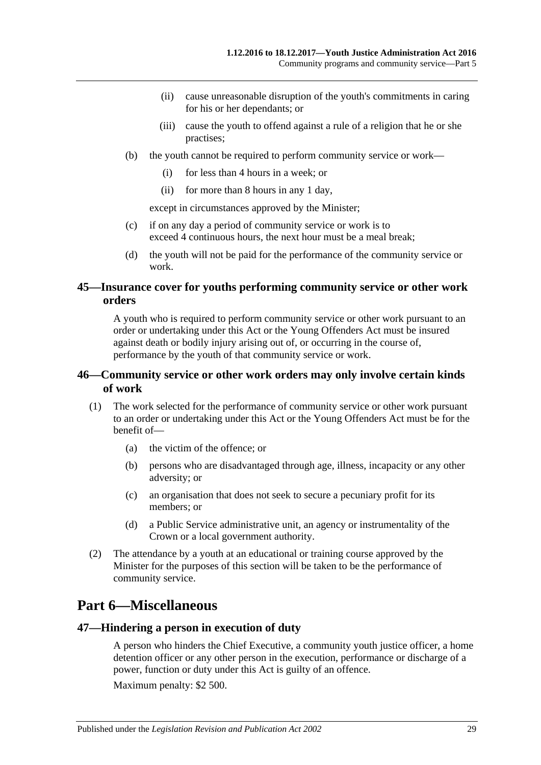- (ii) cause unreasonable disruption of the youth's commitments in caring for his or her dependants; or
- (iii) cause the youth to offend against a rule of a religion that he or she practises;
- (b) the youth cannot be required to perform community service or work—
	- (i) for less than 4 hours in a week; or
	- (ii) for more than 8 hours in any 1 day,

except in circumstances approved by the Minister;

- (c) if on any day a period of community service or work is to exceed 4 continuous hours, the next hour must be a meal break;
- (d) the youth will not be paid for the performance of the community service or work.

#### <span id="page-28-0"></span>**45—Insurance cover for youths performing community service or other work orders**

A youth who is required to perform community service or other work pursuant to an order or undertaking under this Act or the Young Offenders Act must be insured against death or bodily injury arising out of, or occurring in the course of, performance by the youth of that community service or work.

#### <span id="page-28-1"></span>**46—Community service or other work orders may only involve certain kinds of work**

- (1) The work selected for the performance of community service or other work pursuant to an order or undertaking under this Act or the Young Offenders Act must be for the benefit of—
	- (a) the victim of the offence; or
	- (b) persons who are disadvantaged through age, illness, incapacity or any other adversity; or
	- (c) an organisation that does not seek to secure a pecuniary profit for its members; or
	- (d) a Public Service administrative unit, an agency or instrumentality of the Crown or a local government authority.
- (2) The attendance by a youth at an educational or training course approved by the Minister for the purposes of this section will be taken to be the performance of community service.

# <span id="page-28-2"></span>**Part 6—Miscellaneous**

#### <span id="page-28-3"></span>**47—Hindering a person in execution of duty**

A person who hinders the Chief Executive, a community youth justice officer, a home detention officer or any other person in the execution, performance or discharge of a power, function or duty under this Act is guilty of an offence.

Maximum penalty: \$2 500.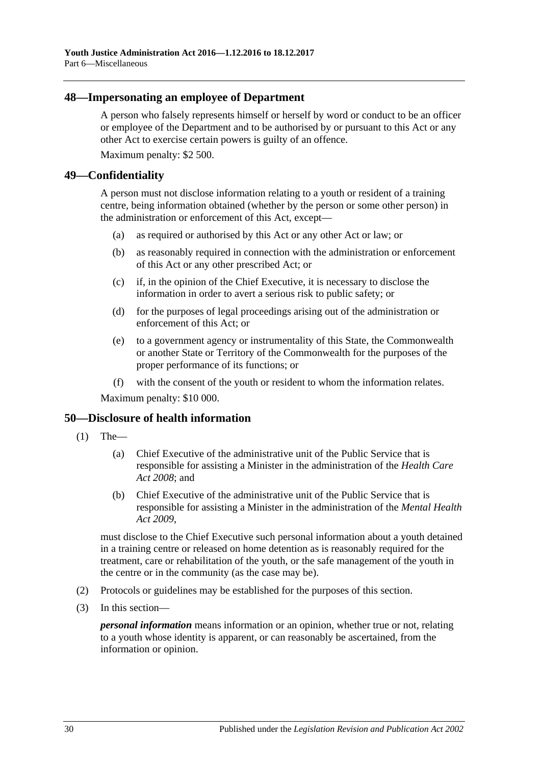#### <span id="page-29-0"></span>**48—Impersonating an employee of Department**

A person who falsely represents himself or herself by word or conduct to be an officer or employee of the Department and to be authorised by or pursuant to this Act or any other Act to exercise certain powers is guilty of an offence.

Maximum penalty: \$2 500.

#### <span id="page-29-1"></span>**49—Confidentiality**

A person must not disclose information relating to a youth or resident of a training centre, being information obtained (whether by the person or some other person) in the administration or enforcement of this Act, except—

- (a) as required or authorised by this Act or any other Act or law; or
- (b) as reasonably required in connection with the administration or enforcement of this Act or any other prescribed Act; or
- (c) if, in the opinion of the Chief Executive, it is necessary to disclose the information in order to avert a serious risk to public safety; or
- (d) for the purposes of legal proceedings arising out of the administration or enforcement of this Act; or
- (e) to a government agency or instrumentality of this State, the Commonwealth or another State or Territory of the Commonwealth for the purposes of the proper performance of its functions; or
- (f) with the consent of the youth or resident to whom the information relates.

Maximum penalty: \$10 000.

#### <span id="page-29-2"></span>**50—Disclosure of health information**

- $(1)$  The—
	- (a) Chief Executive of the administrative unit of the Public Service that is responsible for assisting a Minister in the administration of the *[Health Care](http://www.legislation.sa.gov.au/index.aspx?action=legref&type=act&legtitle=Health%20Care%20Act%202008)  Act [2008](http://www.legislation.sa.gov.au/index.aspx?action=legref&type=act&legtitle=Health%20Care%20Act%202008)*; and
	- (b) Chief Executive of the administrative unit of the Public Service that is responsible for assisting a Minister in the administration of the *[Mental Health](http://www.legislation.sa.gov.au/index.aspx?action=legref&type=act&legtitle=Mental%20Health%20Act%202009)  Act [2009](http://www.legislation.sa.gov.au/index.aspx?action=legref&type=act&legtitle=Mental%20Health%20Act%202009)*,

must disclose to the Chief Executive such personal information about a youth detained in a training centre or released on home detention as is reasonably required for the treatment, care or rehabilitation of the youth, or the safe management of the youth in the centre or in the community (as the case may be).

- (2) Protocols or guidelines may be established for the purposes of this section.
- (3) In this section—

*personal information* means information or an opinion, whether true or not, relating to a youth whose identity is apparent, or can reasonably be ascertained, from the information or opinion.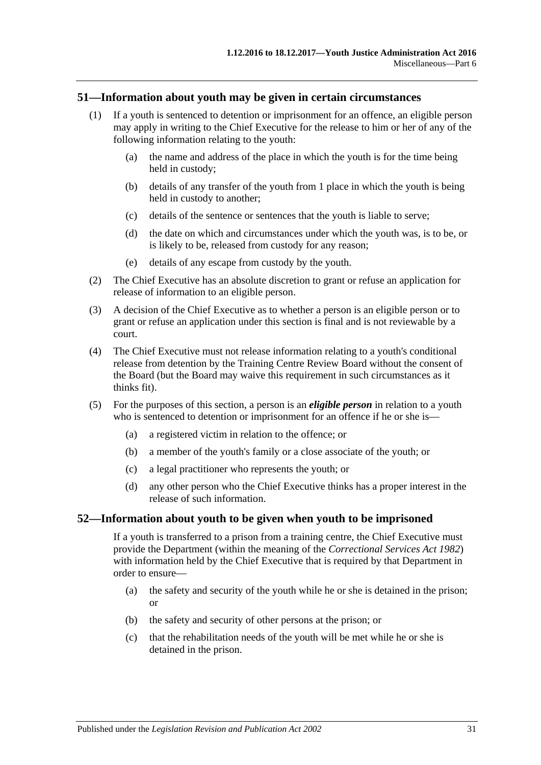#### <span id="page-30-0"></span>**51—Information about youth may be given in certain circumstances**

- (1) If a youth is sentenced to detention or imprisonment for an offence, an eligible person may apply in writing to the Chief Executive for the release to him or her of any of the following information relating to the youth:
	- (a) the name and address of the place in which the youth is for the time being held in custody;
	- (b) details of any transfer of the youth from 1 place in which the youth is being held in custody to another;
	- (c) details of the sentence or sentences that the youth is liable to serve;
	- (d) the date on which and circumstances under which the youth was, is to be, or is likely to be, released from custody for any reason;
	- (e) details of any escape from custody by the youth.
- (2) The Chief Executive has an absolute discretion to grant or refuse an application for release of information to an eligible person.
- (3) A decision of the Chief Executive as to whether a person is an eligible person or to grant or refuse an application under this section is final and is not reviewable by a court.
- (4) The Chief Executive must not release information relating to a youth's conditional release from detention by the Training Centre Review Board without the consent of the Board (but the Board may waive this requirement in such circumstances as it thinks fit).
- (5) For the purposes of this section, a person is an *eligible person* in relation to a youth who is sentenced to detention or imprisonment for an offence if he or she is—
	- (a) a registered victim in relation to the offence; or
	- (b) a member of the youth's family or a close associate of the youth; or
	- (c) a legal practitioner who represents the youth; or
	- (d) any other person who the Chief Executive thinks has a proper interest in the release of such information.

#### <span id="page-30-1"></span>**52—Information about youth to be given when youth to be imprisoned**

If a youth is transferred to a prison from a training centre, the Chief Executive must provide the Department (within the meaning of the *[Correctional Services Act](http://www.legislation.sa.gov.au/index.aspx?action=legref&type=act&legtitle=Correctional%20Services%20Act%201982) 1982*) with information held by the Chief Executive that is required by that Department in order to ensure—

- (a) the safety and security of the youth while he or she is detained in the prison; or
- (b) the safety and security of other persons at the prison; or
- (c) that the rehabilitation needs of the youth will be met while he or she is detained in the prison.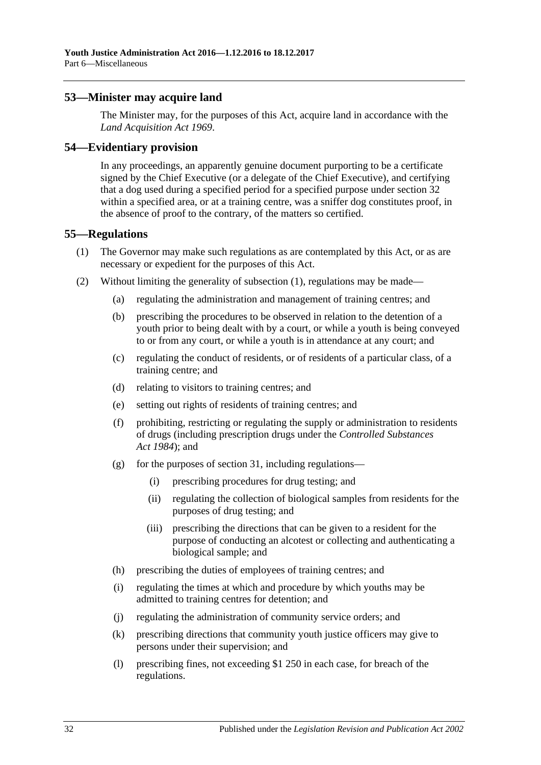#### <span id="page-31-0"></span>**53—Minister may acquire land**

The Minister may, for the purposes of this Act, acquire land in accordance with the *[Land Acquisition Act](http://www.legislation.sa.gov.au/index.aspx?action=legref&type=act&legtitle=Land%20Acquisition%20Act%201969) 1969*.

#### <span id="page-31-1"></span>**54—Evidentiary provision**

In any proceedings, an apparently genuine document purporting to be a certificate signed by the Chief Executive (or a delegate of the Chief Executive), and certifying that a dog used during a specified period for a specified purpose under [section](#page-20-0) 32 within a specified area, or at a training centre, was a sniffer dog constitutes proof, in the absence of proof to the contrary, of the matters so certified.

#### <span id="page-31-3"></span><span id="page-31-2"></span>**55—Regulations**

- (1) The Governor may make such regulations as are contemplated by this Act, or as are necessary or expedient for the purposes of this Act.
- (2) Without limiting the generality of [subsection](#page-31-3) (1), regulations may be made—
	- (a) regulating the administration and management of training centres; and
	- (b) prescribing the procedures to be observed in relation to the detention of a youth prior to being dealt with by a court, or while a youth is being conveyed to or from any court, or while a youth is in attendance at any court; and
	- (c) regulating the conduct of residents, or of residents of a particular class, of a training centre; and
	- (d) relating to visitors to training centres; and
	- (e) setting out rights of residents of training centres; and
	- (f) prohibiting, restricting or regulating the supply or administration to residents of drugs (including prescription drugs under the *[Controlled Substances](http://www.legislation.sa.gov.au/index.aspx?action=legref&type=act&legtitle=Controlled%20Substances%20Act%201984)  Act [1984](http://www.legislation.sa.gov.au/index.aspx?action=legref&type=act&legtitle=Controlled%20Substances%20Act%201984)*); and
	- (g) for the purposes of [section](#page-19-0) 31, including regulations—
		- (i) prescribing procedures for drug testing; and
		- (ii) regulating the collection of biological samples from residents for the purposes of drug testing; and
		- (iii) prescribing the directions that can be given to a resident for the purpose of conducting an alcotest or collecting and authenticating a biological sample; and
	- (h) prescribing the duties of employees of training centres; and
	- (i) regulating the times at which and procedure by which youths may be admitted to training centres for detention; and
	- (j) regulating the administration of community service orders; and
	- (k) prescribing directions that community youth justice officers may give to persons under their supervision; and
	- (l) prescribing fines, not exceeding \$1 250 in each case, for breach of the regulations.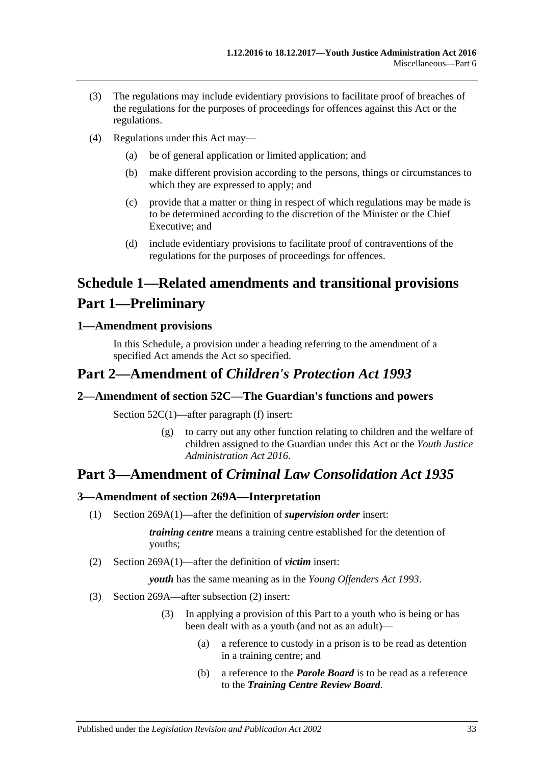- (3) The regulations may include evidentiary provisions to facilitate proof of breaches of the regulations for the purposes of proceedings for offences against this Act or the regulations.
- (4) Regulations under this Act may—
	- (a) be of general application or limited application; and
	- (b) make different provision according to the persons, things or circumstances to which they are expressed to apply; and
	- (c) provide that a matter or thing in respect of which regulations may be made is to be determined according to the discretion of the Minister or the Chief Executive; and
	- (d) include evidentiary provisions to facilitate proof of contraventions of the regulations for the purposes of proceedings for offences.

# <span id="page-32-0"></span>**Schedule 1—Related amendments and transitional provisions Part 1—Preliminary**

#### <span id="page-32-1"></span>**1—Amendment provisions**

In this Schedule, a provision under a heading referring to the amendment of a specified Act amends the Act so specified.

# **Part 2—Amendment of** *Children's Protection Act 1993*

## <span id="page-32-2"></span>**2—Amendment of section 52C—The Guardian's functions and powers**

Section 52C(1)—after paragraph (f) insert:

(g) to carry out any other function relating to children and the welfare of children assigned to the Guardian under this Act or the *[Youth Justice](http://www.legislation.sa.gov.au/index.aspx?action=legref&type=act&legtitle=Youth%20Justice%20Administration%20Act%202016)  [Administration Act](http://www.legislation.sa.gov.au/index.aspx?action=legref&type=act&legtitle=Youth%20Justice%20Administration%20Act%202016) 2016*.

# **Part 3—Amendment of** *Criminal Law Consolidation Act 1935*

# <span id="page-32-3"></span>**3—Amendment of section 269A—Interpretation**

(1) Section 269A(1)—after the definition of *supervision order* insert:

*training centre* means a training centre established for the detention of youths;

(2) Section 269A(1)—after the definition of *victim* insert:

*youth* has the same meaning as in the *[Young Offenders Act](http://www.legislation.sa.gov.au/index.aspx?action=legref&type=act&legtitle=Young%20Offenders%20Act%201993) 1993*.

- (3) Section 269A—after subsection (2) insert:
	- (3) In applying a provision of this Part to a youth who is being or has been dealt with as a youth (and not as an adult)—
		- (a) a reference to custody in a prison is to be read as detention in a training centre; and
		- (b) a reference to the *Parole Board* is to be read as a reference to the *Training Centre Review Board*.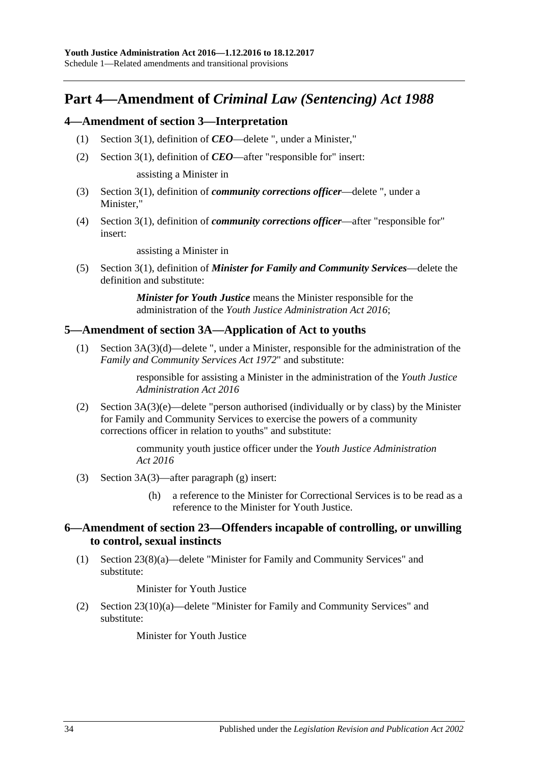# **Part 4—Amendment of** *Criminal Law (Sentencing) Act 1988*

#### <span id="page-33-0"></span>**4—Amendment of section 3—Interpretation**

- (1) Section 3(1), definition of *CEO*—delete ", under a Minister,"
- (2) Section 3(1), definition of *CEO*—after "responsible for" insert:

assisting a Minister in

- (3) Section 3(1), definition of *community corrections officer*—delete ", under a Minister,"
- (4) Section 3(1), definition of *community corrections officer*—after "responsible for" insert:

assisting a Minister in

(5) Section 3(1), definition of *Minister for Family and Community Services*—delete the definition and substitute:

> *Minister for Youth Justice* means the Minister responsible for the administration of the *[Youth Justice Administration Act](http://www.legislation.sa.gov.au/index.aspx?action=legref&type=act&legtitle=Youth%20Justice%20Administration%20Act%202016) 2016*;

#### <span id="page-33-1"></span>**5—Amendment of section 3A—Application of Act to youths**

(1) Section 3A(3)(d)—delete ", under a Minister, responsible for the administration of the *[Family and Community Services Act](http://www.legislation.sa.gov.au/index.aspx?action=legref&type=act&legtitle=Family%20and%20Community%20Services%20Act%201972) 1972*" and substitute:

> responsible for assisting a Minister in the administration of the *[Youth Justice](http://www.legislation.sa.gov.au/index.aspx?action=legref&type=act&legtitle=Youth%20Justice%20Administration%20Act%202016)  [Administration Act](http://www.legislation.sa.gov.au/index.aspx?action=legref&type=act&legtitle=Youth%20Justice%20Administration%20Act%202016) 2016*

(2) Section 3A(3)(e)—delete "person authorised (individually or by class) by the Minister for Family and Community Services to exercise the powers of a community corrections officer in relation to youths" and substitute:

> community youth justice officer under the *[Youth Justice Administration](http://www.legislation.sa.gov.au/index.aspx?action=legref&type=act&legtitle=Youth%20Justice%20Administration%20Act%202016)  Act [2016](http://www.legislation.sa.gov.au/index.aspx?action=legref&type=act&legtitle=Youth%20Justice%20Administration%20Act%202016)*

- (3) Section 3A(3)—after paragraph (g) insert:
	- (h) a reference to the Minister for Correctional Services is to be read as a reference to the Minister for Youth Justice.

#### <span id="page-33-2"></span>**6—Amendment of section 23—Offenders incapable of controlling, or unwilling to control, sexual instincts**

(1) Section 23(8)(a)—delete "Minister for Family and Community Services" and substitute:

Minister for Youth Justice

(2) Section 23(10)(a)—delete "Minister for Family and Community Services" and substitute:

Minister for Youth Justice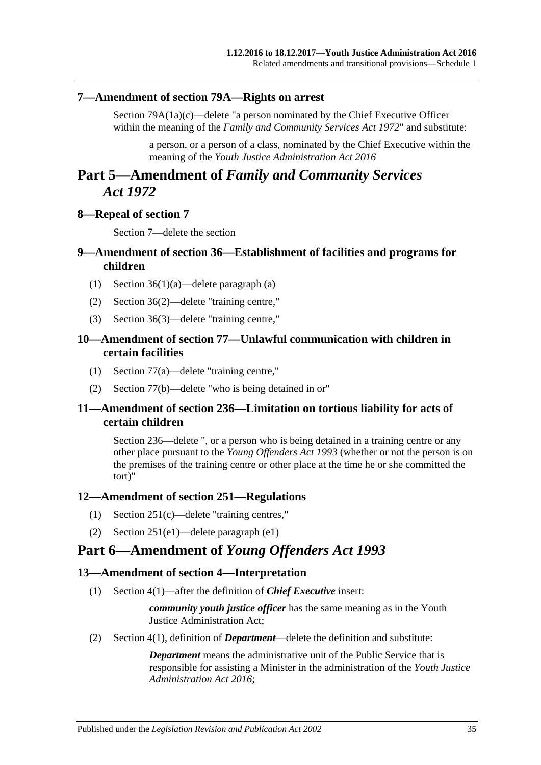#### <span id="page-34-0"></span>**7—Amendment of section 79A—Rights on arrest**

Section 79A(1a)(c)—delete "a person nominated by the Chief Executive Officer within the meaning of the *[Family and Community Services Act](http://www.legislation.sa.gov.au/index.aspx?action=legref&type=act&legtitle=Family%20and%20Community%20Services%20Act%201972) 1972*" and substitute:

a person, or a person of a class, nominated by the Chief Executive within the meaning of the *[Youth Justice Administration Act](http://www.legislation.sa.gov.au/index.aspx?action=legref&type=act&legtitle=Youth%20Justice%20Administration%20Act%202016) 2016*

# **Part 5—Amendment of** *Family and Community Services Act 1972*

#### <span id="page-34-1"></span>**8—Repeal of section 7**

Section 7—delete the section

#### <span id="page-34-2"></span>**9—Amendment of section 36—Establishment of facilities and programs for children**

- (1) Section 36(1)(a)—delete paragraph (a)
- (2) Section 36(2)—delete "training centre,"
- (3) Section 36(3)—delete "training centre,"

#### <span id="page-34-3"></span>**10—Amendment of section 77—Unlawful communication with children in certain facilities**

- (1) Section 77(a)—delete "training centre,"
- (2) Section 77(b)—delete "who is being detained in or"

#### <span id="page-34-4"></span>**11—Amendment of section 236—Limitation on tortious liability for acts of certain children**

Section 236—delete ", or a person who is being detained in a training centre or any other place pursuant to the *[Young Offenders Act](http://www.legislation.sa.gov.au/index.aspx?action=legref&type=act&legtitle=Young%20Offenders%20Act%201993) 1993* (whether or not the person is on the premises of the training centre or other place at the time he or she committed the tort)"

#### <span id="page-34-5"></span>**12—Amendment of section 251—Regulations**

- (1) Section 251(c)—delete "training centres,"
- (2) Section 251(e1)—delete paragraph (e1)

# **Part 6—Amendment of** *Young Offenders Act 1993*

#### <span id="page-34-6"></span>**13—Amendment of section 4—Interpretation**

(1) Section 4(1)—after the definition of *Chief Executive* insert:

*community youth justice officer* has the same meaning as in the Youth Justice Administration Act;

(2) Section 4(1), definition of *Department*—delete the definition and substitute:

*Department* means the administrative unit of the Public Service that is responsible for assisting a Minister in the administration of the *[Youth Justice](http://www.legislation.sa.gov.au/index.aspx?action=legref&type=act&legtitle=Youth%20Justice%20Administration%20Act%202016)  [Administration Act](http://www.legislation.sa.gov.au/index.aspx?action=legref&type=act&legtitle=Youth%20Justice%20Administration%20Act%202016) 2016*;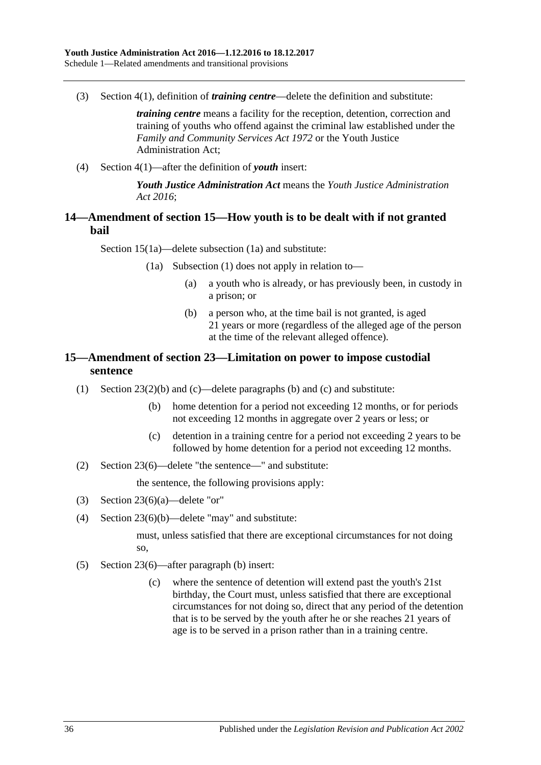(3) Section 4(1), definition of *training centre*—delete the definition and substitute:

*training centre* means a facility for the reception, detention, correction and training of youths who offend against the criminal law established under the *[Family and Community Services Act](http://www.legislation.sa.gov.au/index.aspx?action=legref&type=act&legtitle=Family%20and%20Community%20Services%20Act%201972) 1972* or the Youth Justice Administration Act;

(4) Section 4(1)—after the definition of *youth* insert:

*Youth Justice Administration Act* means the *[Youth Justice Administration](http://www.legislation.sa.gov.au/index.aspx?action=legref&type=act&legtitle=Youth%20Justice%20Administration%20Act%202016)  Act [2016](http://www.legislation.sa.gov.au/index.aspx?action=legref&type=act&legtitle=Youth%20Justice%20Administration%20Act%202016)*;

#### <span id="page-35-0"></span>**14—Amendment of section 15—How youth is to be dealt with if not granted bail**

Section 15(1a)—delete subsection (1a) and substitute:

- (1a) Subsection (1) does not apply in relation to—
	- (a) a youth who is already, or has previously been, in custody in a prison; or
	- (b) a person who, at the time bail is not granted, is aged 21 years or more (regardless of the alleged age of the person at the time of the relevant alleged offence).

### <span id="page-35-1"></span>**15—Amendment of section 23—Limitation on power to impose custodial sentence**

- (1) Section 23(2)(b) and (c)—delete paragraphs (b) and (c) and substitute:
	- (b) home detention for a period not exceeding 12 months, or for periods not exceeding 12 months in aggregate over 2 years or less; or
	- (c) detention in a training centre for a period not exceeding 2 years to be followed by home detention for a period not exceeding 12 months.
- (2) Section 23(6)—delete "the sentence—" and substitute:

the sentence, the following provisions apply:

- (3) Section 23(6)(a)—delete "or"
- (4) Section 23(6)(b)—delete "may" and substitute:

must, unless satisfied that there are exceptional circumstances for not doing so,

- (5) Section 23(6)—after paragraph (b) insert:
	- (c) where the sentence of detention will extend past the youth's 21st birthday, the Court must, unless satisfied that there are exceptional circumstances for not doing so, direct that any period of the detention that is to be served by the youth after he or she reaches 21 years of age is to be served in a prison rather than in a training centre.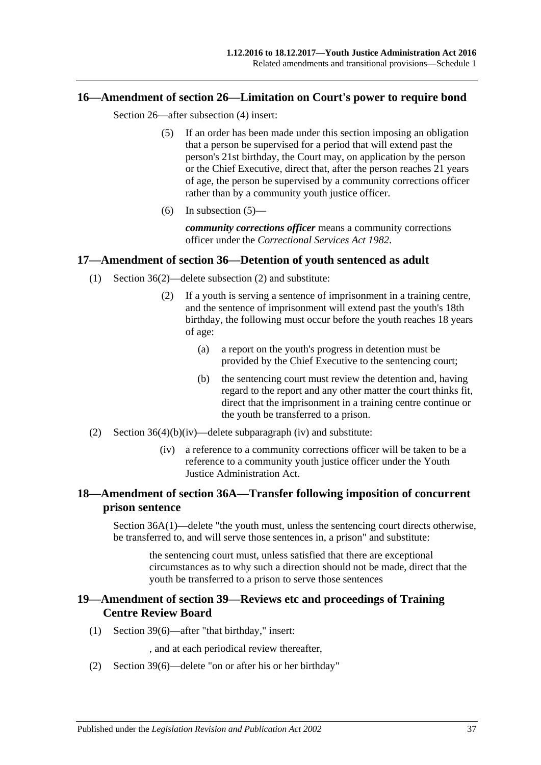#### <span id="page-36-4"></span><span id="page-36-0"></span>**16—Amendment of section 26—Limitation on Court's power to require bond**

Section 26—after subsection (4) insert:

- (5) If an order has been made under this section imposing an obligation that a person be supervised for a period that will extend past the person's 21st birthday, the Court may, on application by the person or the Chief Executive, direct that, after the person reaches 21 years of age, the person be supervised by a community corrections officer rather than by a community youth justice officer.
- (6) In [subsection](#page-36-4)  $(5)$ —

*community corrections officer* means a community corrections officer under the *[Correctional Services Act](http://www.legislation.sa.gov.au/index.aspx?action=legref&type=act&legtitle=Correctional%20Services%20Act%201982) 1982*.

#### <span id="page-36-1"></span>**17—Amendment of section 36—Detention of youth sentenced as adult**

- (1) Section 36(2)—delete subsection (2) and substitute:
	- (2) If a youth is serving a sentence of imprisonment in a training centre, and the sentence of imprisonment will extend past the youth's 18th birthday, the following must occur before the youth reaches 18 years of age:
		- (a) a report on the youth's progress in detention must be provided by the Chief Executive to the sentencing court;
		- (b) the sentencing court must review the detention and, having regard to the report and any other matter the court thinks fit, direct that the imprisonment in a training centre continue or the youth be transferred to a prison.
- (2) Section  $36(4)(b)(iv)$ —delete subparagraph (iv) and substitute:
	- (iv) a reference to a community corrections officer will be taken to be a reference to a community youth justice officer under the Youth Justice Administration Act.

#### <span id="page-36-2"></span>**18—Amendment of section 36A—Transfer following imposition of concurrent prison sentence**

Section 36A(1)—delete "the youth must, unless the sentencing court directs otherwise, be transferred to, and will serve those sentences in, a prison" and substitute:

the sentencing court must, unless satisfied that there are exceptional circumstances as to why such a direction should not be made, direct that the youth be transferred to a prison to serve those sentences

#### <span id="page-36-3"></span>**19—Amendment of section 39—Reviews etc and proceedings of Training Centre Review Board**

(1) Section 39(6)—after "that birthday," insert:

, and at each periodical review thereafter,

(2) Section 39(6)—delete "on or after his or her birthday"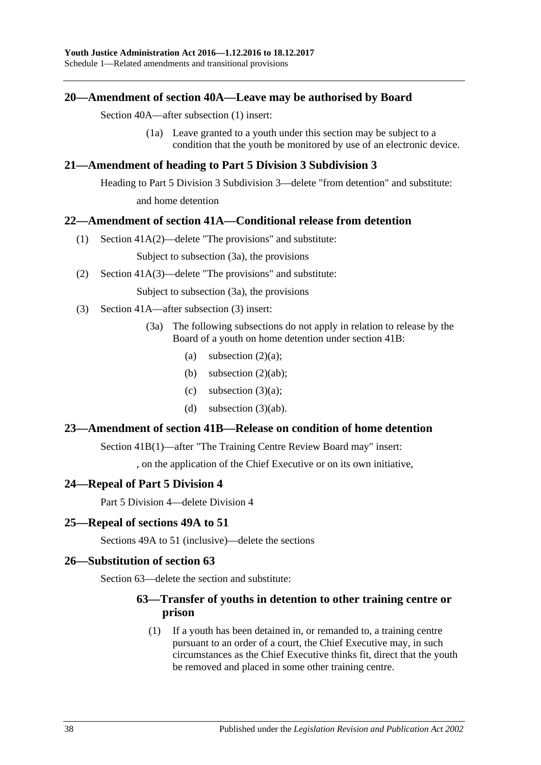Schedule 1—Related amendments and transitional provisions

#### <span id="page-37-0"></span>**20—Amendment of section 40A—Leave may be authorised by Board**

Section 40A—after subsection (1) insert:

(1a) Leave granted to a youth under this section may be subject to a condition that the youth be monitored by use of an electronic device.

#### <span id="page-37-1"></span>**21—Amendment of heading to Part 5 Division 3 Subdivision 3**

Heading to Part 5 Division 3 Subdivision 3—delete "from detention" and substitute: and home detention

#### <span id="page-37-2"></span>**22—Amendment of section 41A—Conditional release from detention**

(1) Section 41A(2)—delete "The provisions" and substitute:

Subject to subsection (3a), the provisions

(2) Section 41A(3)—delete "The provisions" and substitute:

Subject to subsection (3a), the provisions

- (3) Section 41A—after subsection (3) insert:
	- (3a) The following subsections do not apply in relation to release by the Board of a youth on home detention under section 41B:
		- (a) subsection  $(2)(a)$ ;
		- (b) subsection  $(2)(ab)$ ;
		- (c) subsection  $(3)(a)$ ;
		- (d) subsection  $(3)(ab)$ .

#### <span id="page-37-3"></span>**23—Amendment of section 41B—Release on condition of home detention**

Section 41B(1)—after "The Training Centre Review Board may" insert:

, on the application of the Chief Executive or on its own initiative,

#### <span id="page-37-4"></span>**24—Repeal of Part 5 Division 4**

Part 5 Division 4—delete Division 4

#### <span id="page-37-5"></span>**25—Repeal of sections 49A to 51**

Sections 49A to 51 (inclusive)—delete the sections

#### <span id="page-37-6"></span>**26—Substitution of section 63**

Section 63—delete the section and substitute:

#### **63—Transfer of youths in detention to other training centre or prison**

(1) If a youth has been detained in, or remanded to, a training centre pursuant to an order of a court, the Chief Executive may, in such circumstances as the Chief Executive thinks fit, direct that the youth be removed and placed in some other training centre.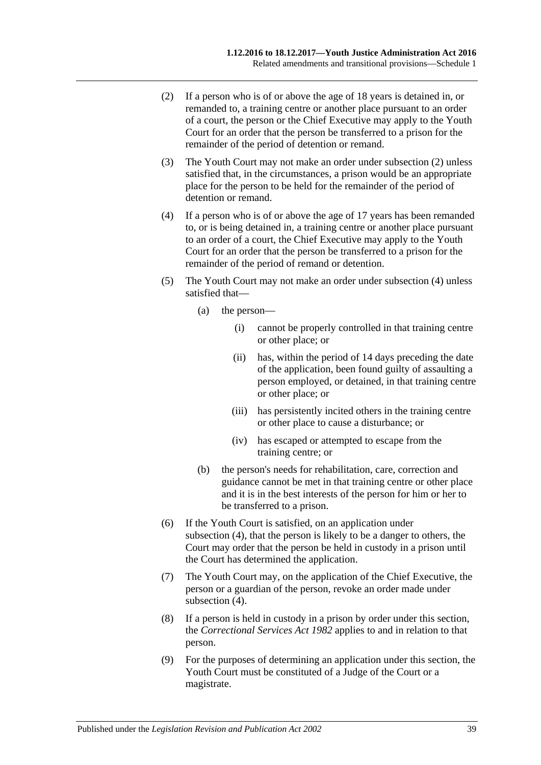- <span id="page-38-0"></span>(2) If a person who is of or above the age of 18 years is detained in, or remanded to, a training centre or another place pursuant to an order of a court, the person or the Chief Executive may apply to the Youth Court for an order that the person be transferred to a prison for the remainder of the period of detention or remand.
- (3) The Youth Court may not make an order under [subsection](#page-38-0) (2) unless satisfied that, in the circumstances, a prison would be an appropriate place for the person to be held for the remainder of the period of detention or remand.
- <span id="page-38-1"></span>(4) If a person who is of or above the age of 17 years has been remanded to, or is being detained in, a training centre or another place pursuant to an order of a court, the Chief Executive may apply to the Youth Court for an order that the person be transferred to a prison for the remainder of the period of remand or detention.
- (5) The Youth Court may not make an order under [subsection](#page-38-1) (4) unless satisfied that—
	- (a) the person—
		- (i) cannot be properly controlled in that training centre or other place; or
		- (ii) has, within the period of 14 days preceding the date of the application, been found guilty of assaulting a person employed, or detained, in that training centre or other place; or
		- (iii) has persistently incited others in the training centre or other place to cause a disturbance; or
		- (iv) has escaped or attempted to escape from the training centre; or
	- (b) the person's needs for rehabilitation, care, correction and guidance cannot be met in that training centre or other place and it is in the best interests of the person for him or her to be transferred to a prison.
- (6) If the Youth Court is satisfied, on an application under [subsection](#page-38-1) (4), that the person is likely to be a danger to others, the Court may order that the person be held in custody in a prison until the Court has determined the application.
- (7) The Youth Court may, on the application of the Chief Executive, the person or a guardian of the person, revoke an order made under [subsection](#page-38-1) (4).
- (8) If a person is held in custody in a prison by order under this section, the *[Correctional Services Act](http://www.legislation.sa.gov.au/index.aspx?action=legref&type=act&legtitle=Correctional%20Services%20Act%201982) 1982* applies to and in relation to that person.
- (9) For the purposes of determining an application under this section, the Youth Court must be constituted of a Judge of the Court or a magistrate.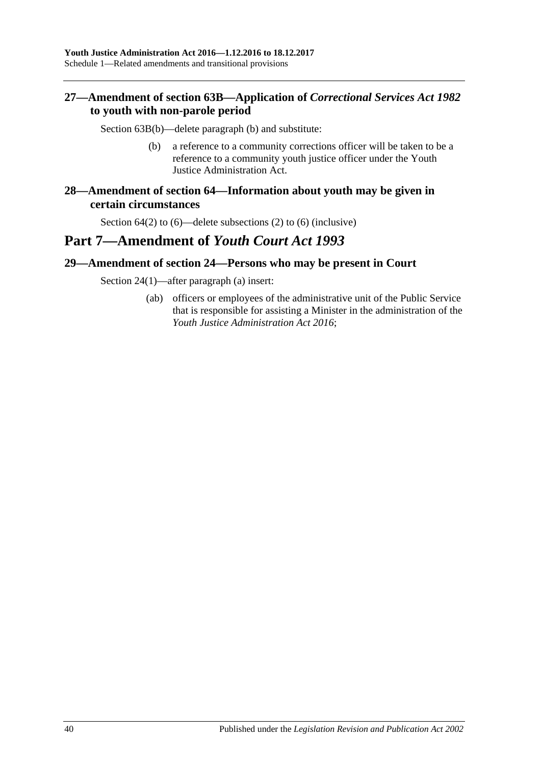## <span id="page-39-0"></span>**27—Amendment of section 63B—Application of** *Correctional Services Act 1982* **to youth with non-parole period**

Section 63B(b)—delete paragraph (b) and substitute:

- (b) a reference to a community corrections officer will be taken to be a reference to a community youth justice officer under the Youth Justice Administration Act.
- <span id="page-39-1"></span>**28—Amendment of section 64—Information about youth may be given in certain circumstances**

Section 64(2) to (6)—delete subsections (2) to (6) (inclusive)

# **Part 7—Amendment of** *Youth Court Act 1993*

#### <span id="page-39-2"></span>**29—Amendment of section 24—Persons who may be present in Court**

Section 24(1)—after paragraph (a) insert:

(ab) officers or employees of the administrative unit of the Public Service that is responsible for assisting a Minister in the administration of the *[Youth Justice Administration Act](http://www.legislation.sa.gov.au/index.aspx?action=legref&type=act&legtitle=Youth%20Justice%20Administration%20Act%202016) 2016*;